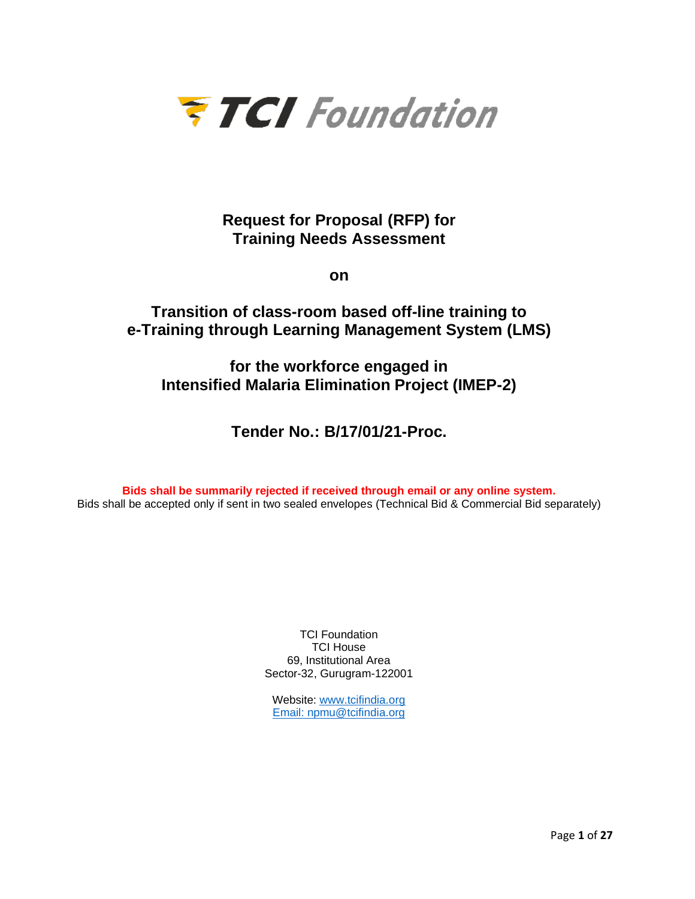

**Request for Proposal (RFP) for Training Needs Assessment**

**on**

# **Transition of class-room based off-line training to e-Training through Learning Management System (LMS)**

**for the workforce engaged in Intensified Malaria Elimination Project (IMEP-2)**

**Tender No.: B/17/01/21-Proc.**

**Bids shall be summarily rejected if received through email or any online system.** Bids shall be accepted only if sent in two sealed envelopes (Technical Bid & Commercial Bid separately)

> TCI Foundation TCI House 69, Institutional Area Sector-32, Gurugram-122001

Website: [www.tcifindia.org](http://www.tcifindia.org/) Email: [npmu@tcifindia.org](mailto:npmu@tcifindia.org)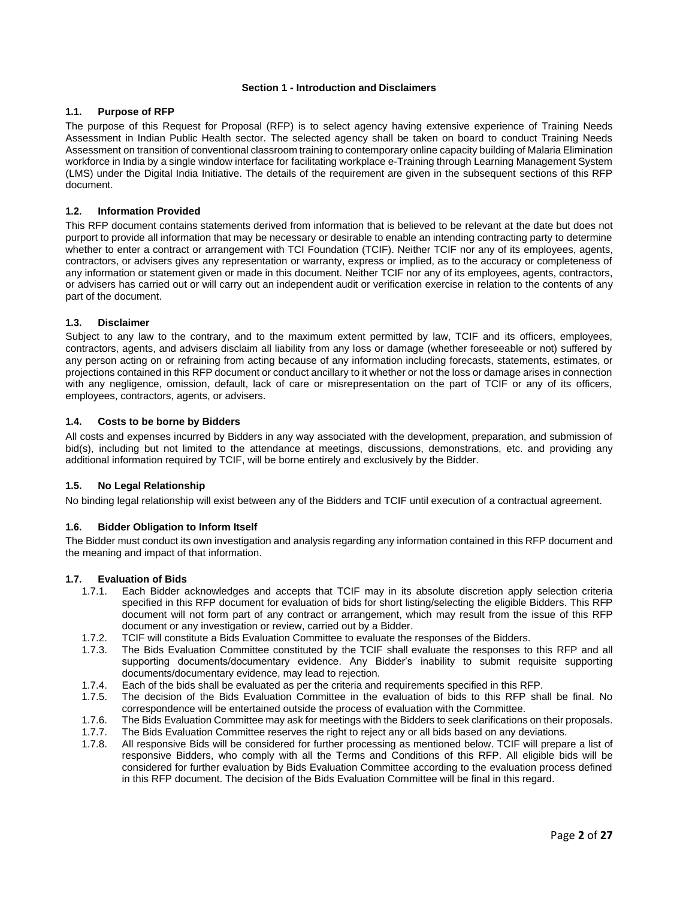#### **Section 1 - Introduction and Disclaimers**

#### **1.1. Purpose of RFP**

The purpose of this Request for Proposal (RFP) is to select agency having extensive experience of Training Needs Assessment in Indian Public Health sector. The selected agency shall be taken on board to conduct Training Needs Assessment on transition of conventional classroom training to contemporary online capacity building of Malaria Elimination workforce in India by a single window interface for facilitating workplace e-Training through Learning Management System (LMS) under the Digital India Initiative. The details of the requirement are given in the subsequent sections of this RFP document.

#### **1.2. Information Provided**

This RFP document contains statements derived from information that is believed to be relevant at the date but does not purport to provide all information that may be necessary or desirable to enable an intending contracting party to determine whether to enter a contract or arrangement with TCI Foundation (TCIF). Neither TCIF nor any of its employees, agents, contractors, or advisers gives any representation or warranty, express or implied, as to the accuracy or completeness of any information or statement given or made in this document. Neither TCIF nor any of its employees, agents, contractors, or advisers has carried out or will carry out an independent audit or verification exercise in relation to the contents of any part of the document.

#### **1.3. Disclaimer**

Subject to any law to the contrary, and to the maximum extent permitted by law, TCIF and its officers, employees, contractors, agents, and advisers disclaim all liability from any loss or damage (whether foreseeable or not) suffered by any person acting on or refraining from acting because of any information including forecasts, statements, estimates, or projections contained in this RFP document or conduct ancillary to it whether or not the loss or damage arises in connection with any negligence, omission, default, lack of care or misrepresentation on the part of TCIF or any of its officers, employees, contractors, agents, or advisers.

#### **1.4. Costs to be borne by Bidders**

All costs and expenses incurred by Bidders in any way associated with the development, preparation, and submission of bid(s), including but not limited to the attendance at meetings, discussions, demonstrations, etc. and providing any additional information required by TCIF, will be borne entirely and exclusively by the Bidder.

#### **1.5. No Legal Relationship**

No binding legal relationship will exist between any of the Bidders and TCIF until execution of a contractual agreement.

## **1.6. Bidder Obligation to Inform Itself**

The Bidder must conduct its own investigation and analysis regarding any information contained in this RFP document and the meaning and impact of that information.

#### **1.7. Evaluation of Bids**

- 1.7.1. Each Bidder acknowledges and accepts that TCIF may in its absolute discretion apply selection criteria specified in this RFP document for evaluation of bids for short listing/selecting the eligible Bidders. This RFP document will not form part of any contract or arrangement, which may result from the issue of this RFP document or any investigation or review, carried out by a Bidder.
- 1.7.2. TCIF will constitute a Bids Evaluation Committee to evaluate the responses of the Bidders.
- 1.7.3. The Bids Evaluation Committee constituted by the TCIF shall evaluate the responses to this RFP and all supporting documents/documentary evidence. Any Bidder's inability to submit requisite supporting documents/documentary evidence, may lead to rejection.
- 1.7.4. Each of the bids shall be evaluated as per the criteria and requirements specified in this RFP.
- 1.7.5. The decision of the Bids Evaluation Committee in the evaluation of bids to this RFP shall be final. No correspondence will be entertained outside the process of evaluation with the Committee.
- 1.7.6. The Bids Evaluation Committee may ask for meetings with the Bidders to seek clarifications on their proposals.
- 1.7.7. The Bids Evaluation Committee reserves the right to reject any or all bids based on any deviations.
- 1.7.8. All responsive Bids will be considered for further processing as mentioned below. TCIF will prepare a list of responsive Bidders, who comply with all the Terms and Conditions of this RFP. All eligible bids will be considered for further evaluation by Bids Evaluation Committee according to the evaluation process defined in this RFP document. The decision of the Bids Evaluation Committee will be final in this regard.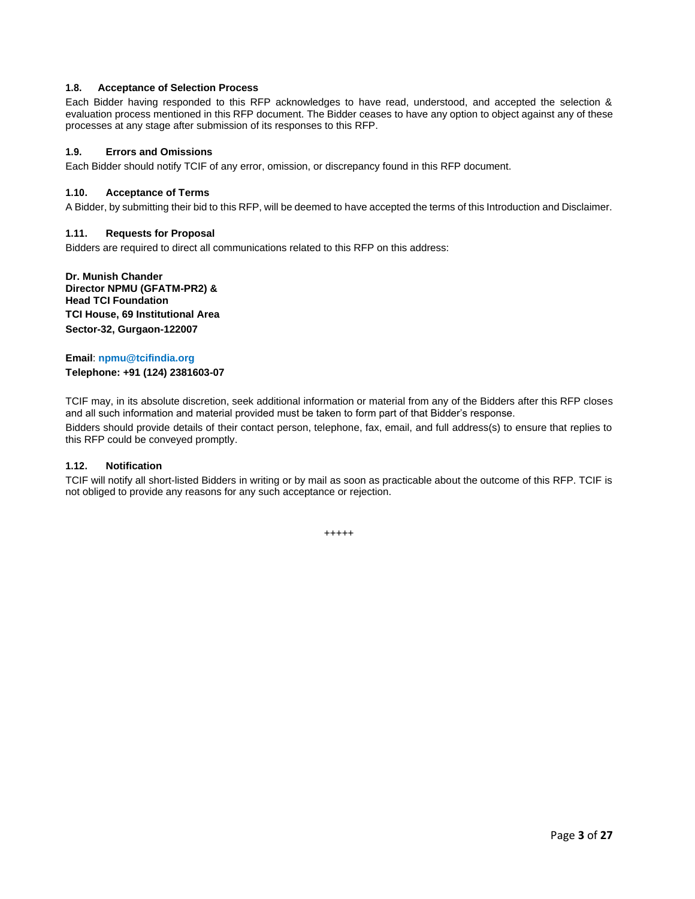# **1.8. Acceptance of Selection Process**

Each Bidder having responded to this RFP acknowledges to have read, understood, and accepted the selection & evaluation process mentioned in this RFP document. The Bidder ceases to have any option to object against any of these processes at any stage after submission of its responses to this RFP.

# **1.9. Errors and Omissions**

Each Bidder should notify TCIF of any error, omission, or discrepancy found in this RFP document.

## **1.10. Acceptance of Terms**

A Bidder, by submitting their bid to this RFP, will be deemed to have accepted the terms of this Introduction and Disclaimer.

# **1.11. Requests for Proposal**

Bidders are required to direct all communications related to this RFP on this address:

**Dr. Munish Chander Director NPMU (GFATM-PR2) & Head TCI Foundation TCI House, 69 Institutional Area Sector-32, Gurgaon-122007**

# **Email**: **npmu@tcifindia.org Telephone: +91 (124) 2381603-07**

TCIF may, in its absolute discretion, seek additional information or material from any of the Bidders after this RFP closes and all such information and material provided must be taken to form part of that Bidder's response. Bidders should provide details of their contact person, telephone, fax, email, and full address(s) to ensure that replies to this RFP could be conveyed promptly.

# **1.12. Notification**

TCIF will notify all short-listed Bidders in writing or by mail as soon as practicable about the outcome of this RFP. TCIF is not obliged to provide any reasons for any such acceptance or rejection.

+++++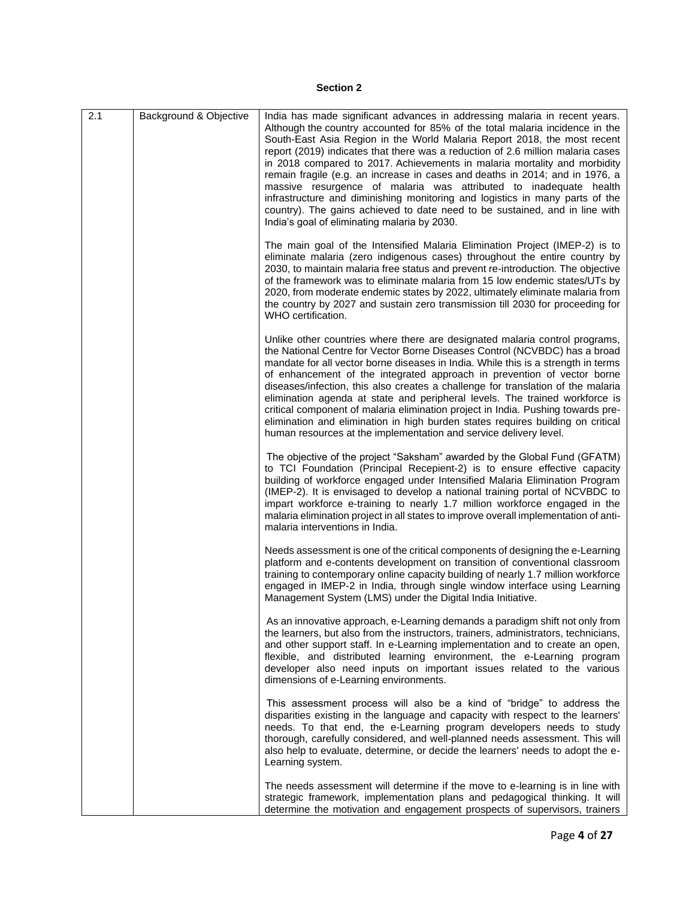# **Section 2**

| 2.1 | Background & Objective | India has made significant advances in addressing malaria in recent years.<br>Although the country accounted for 85% of the total malaria incidence in the<br>South-East Asia Region in the World Malaria Report 2018, the most recent<br>report (2019) indicates that there was a reduction of 2.6 million malaria cases<br>in 2018 compared to 2017. Achievements in malaria mortality and morbidity<br>remain fragile (e.g. an increase in cases and deaths in 2014; and in 1976, a<br>massive resurgence of malaria was attributed to inadequate health<br>infrastructure and diminishing monitoring and logistics in many parts of the<br>country). The gains achieved to date need to be sustained, and in line with<br>India's goal of eliminating malaria by 2030. |
|-----|------------------------|----------------------------------------------------------------------------------------------------------------------------------------------------------------------------------------------------------------------------------------------------------------------------------------------------------------------------------------------------------------------------------------------------------------------------------------------------------------------------------------------------------------------------------------------------------------------------------------------------------------------------------------------------------------------------------------------------------------------------------------------------------------------------|
|     |                        | The main goal of the Intensified Malaria Elimination Project (IMEP-2) is to<br>eliminate malaria (zero indigenous cases) throughout the entire country by<br>2030, to maintain malaria free status and prevent re-introduction. The objective<br>of the framework was to eliminate malaria from 15 low endemic states/UTs by<br>2020, from moderate endemic states by 2022, ultimately eliminate malaria from<br>the country by 2027 and sustain zero transmission till 2030 for proceeding for<br>WHO certification.                                                                                                                                                                                                                                                      |
|     |                        | Unlike other countries where there are designated malaria control programs,<br>the National Centre for Vector Borne Diseases Control (NCVBDC) has a broad<br>mandate for all vector borne diseases in India. While this is a strength in terms<br>of enhancement of the integrated approach in prevention of vector borne<br>diseases/infection, this also creates a challenge for translation of the malaria<br>elimination agenda at state and peripheral levels. The trained workforce is<br>critical component of malaria elimination project in India. Pushing towards pre-<br>elimination and elimination in high burden states requires building on critical<br>human resources at the implementation and service delivery level.                                   |
|     |                        | The objective of the project "Saksham" awarded by the Global Fund (GFATM)<br>to TCI Foundation (Principal Recepient-2) is to ensure effective capacity<br>building of workforce engaged under Intensified Malaria Elimination Program<br>(IMEP-2). It is envisaged to develop a national training portal of NCVBDC to<br>impart workforce e-training to nearly 1.7 million workforce engaged in the<br>malaria elimination project in all states to improve overall implementation of anti-<br>malaria interventions in India.                                                                                                                                                                                                                                             |
|     |                        | Needs assessment is one of the critical components of designing the e-Learning<br>platform and e-contents development on transition of conventional classroom<br>training to contemporary online capacity building of nearly 1.7 million workforce<br>engaged in IMEP-2 in India, through single window interface using Learning<br>Management System (LMS) under the Digital India Initiative.                                                                                                                                                                                                                                                                                                                                                                            |
|     |                        | As an innovative approach, e-Learning demands a paradigm shift not only from<br>the learners, but also from the instructors, trainers, administrators, technicians,<br>and other support staff. In e-Learning implementation and to create an open,<br>flexible, and distributed learning environment, the e-Learning program<br>developer also need inputs on important issues related to the various<br>dimensions of e-Learning environments.                                                                                                                                                                                                                                                                                                                           |
|     |                        | This assessment process will also be a kind of "bridge" to address the<br>disparities existing in the language and capacity with respect to the learners'<br>needs. To that end, the e-Learning program developers needs to study<br>thorough, carefully considered, and well-planned needs assessment. This will<br>also help to evaluate, determine, or decide the learners' needs to adopt the e-<br>Learning system.                                                                                                                                                                                                                                                                                                                                                   |
|     |                        | The needs assessment will determine if the move to e-learning is in line with<br>strategic framework, implementation plans and pedagogical thinking. It will<br>determine the motivation and engagement prospects of supervisors, trainers                                                                                                                                                                                                                                                                                                                                                                                                                                                                                                                                 |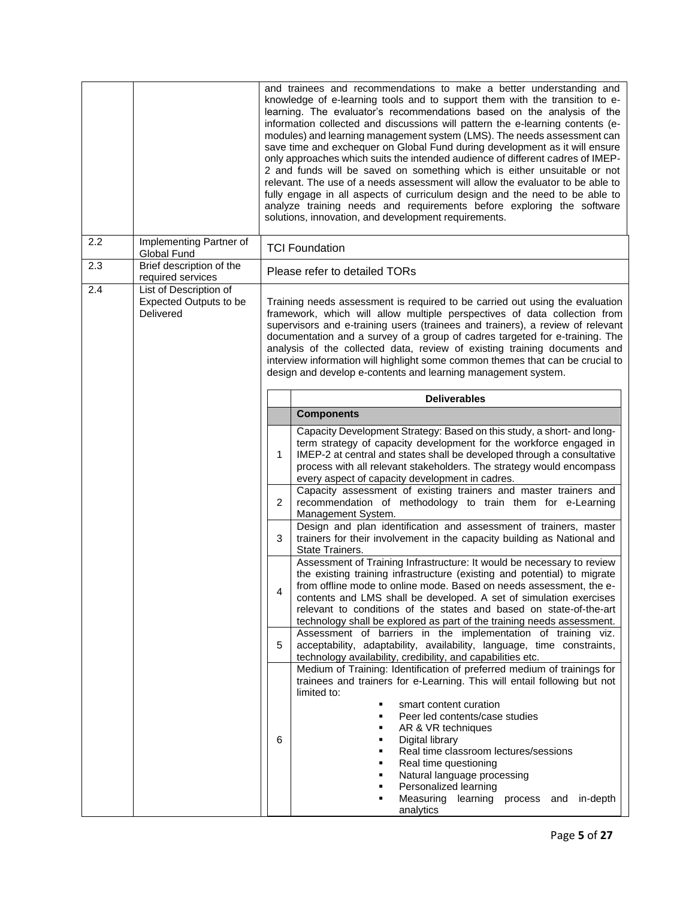|     |                                                                      | and trainees and recommendations to make a better understanding and<br>knowledge of e-learning tools and to support them with the transition to e-<br>learning. The evaluator's recommendations based on the analysis of the<br>information collected and discussions will pattern the e-learning contents (e-<br>modules) and learning management system (LMS). The needs assessment can<br>save time and exchequer on Global Fund during development as it will ensure<br>only approaches which suits the intended audience of different cadres of IMEP-<br>2 and funds will be saved on something which is either unsuitable or not<br>relevant. The use of a needs assessment will allow the evaluator to be able to<br>fully engage in all aspects of curriculum design and the need to be able to<br>analyze training needs and requirements before exploring the software<br>solutions, innovation, and development requirements. |                                                                                                                                                                                                                                                                                                                                                                       |  |
|-----|----------------------------------------------------------------------|------------------------------------------------------------------------------------------------------------------------------------------------------------------------------------------------------------------------------------------------------------------------------------------------------------------------------------------------------------------------------------------------------------------------------------------------------------------------------------------------------------------------------------------------------------------------------------------------------------------------------------------------------------------------------------------------------------------------------------------------------------------------------------------------------------------------------------------------------------------------------------------------------------------------------------------|-----------------------------------------------------------------------------------------------------------------------------------------------------------------------------------------------------------------------------------------------------------------------------------------------------------------------------------------------------------------------|--|
| 2.2 | Implementing Partner of<br>Global Fund                               |                                                                                                                                                                                                                                                                                                                                                                                                                                                                                                                                                                                                                                                                                                                                                                                                                                                                                                                                          | <b>TCI Foundation</b>                                                                                                                                                                                                                                                                                                                                                 |  |
| 2.3 | Brief description of the<br>required services                        |                                                                                                                                                                                                                                                                                                                                                                                                                                                                                                                                                                                                                                                                                                                                                                                                                                                                                                                                          | Please refer to detailed TORs                                                                                                                                                                                                                                                                                                                                         |  |
| 2.4 | List of Description of<br><b>Expected Outputs to be</b><br>Delivered | Training needs assessment is required to be carried out using the evaluation<br>framework, which will allow multiple perspectives of data collection from<br>supervisors and e-training users (trainees and trainers), a review of relevant<br>documentation and a survey of a group of cadres targeted for e-training. The<br>analysis of the collected data, review of existing training documents and<br>interview information will highlight some common themes that can be crucial to<br>design and develop e-contents and learning management system.                                                                                                                                                                                                                                                                                                                                                                              |                                                                                                                                                                                                                                                                                                                                                                       |  |
|     |                                                                      |                                                                                                                                                                                                                                                                                                                                                                                                                                                                                                                                                                                                                                                                                                                                                                                                                                                                                                                                          | <b>Deliverables</b>                                                                                                                                                                                                                                                                                                                                                   |  |
|     |                                                                      | <b>Components</b><br>Capacity Development Strategy: Based on this study, a short- and long-<br>term strategy of capacity development for the workforce engaged in<br>IMEP-2 at central and states shall be developed through a consultative<br>1<br>process with all relevant stakeholders. The strategy would encompass<br>every aspect of capacity development in cadres.<br>Capacity assessment of existing trainers and master trainers and                                                                                                                                                                                                                                                                                                                                                                                                                                                                                          |                                                                                                                                                                                                                                                                                                                                                                       |  |
|     |                                                                      | $\overline{2}$                                                                                                                                                                                                                                                                                                                                                                                                                                                                                                                                                                                                                                                                                                                                                                                                                                                                                                                           | recommendation of methodology to train them for e-Learning<br>Management System.                                                                                                                                                                                                                                                                                      |  |
|     |                                                                      | Design and plan identification and assessment of trainers, master<br>3<br>trainers for their involvement in the capacity building as National and                                                                                                                                                                                                                                                                                                                                                                                                                                                                                                                                                                                                                                                                                                                                                                                        |                                                                                                                                                                                                                                                                                                                                                                       |  |
|     |                                                                      |                                                                                                                                                                                                                                                                                                                                                                                                                                                                                                                                                                                                                                                                                                                                                                                                                                                                                                                                          | State Trainers.                                                                                                                                                                                                                                                                                                                                                       |  |
|     |                                                                      | 4                                                                                                                                                                                                                                                                                                                                                                                                                                                                                                                                                                                                                                                                                                                                                                                                                                                                                                                                        | Assessment of Training Infrastructure: It would be necessary to review<br>the existing training infrastructure (existing and potential) to migrate<br>from offline mode to online mode. Based on needs assessment, the e-<br>contents and LMS shall be developed. A set of simulation exercises<br>relevant to conditions of the states and based on state-of-the-art |  |
|     |                                                                      | 5                                                                                                                                                                                                                                                                                                                                                                                                                                                                                                                                                                                                                                                                                                                                                                                                                                                                                                                                        | technology shall be explored as part of the training needs assessment.<br>Assessment of barriers in the implementation of training viz.<br>acceptability, adaptability, availability, language, time constraints,<br>technology availability, credibility, and capabilities etc.                                                                                      |  |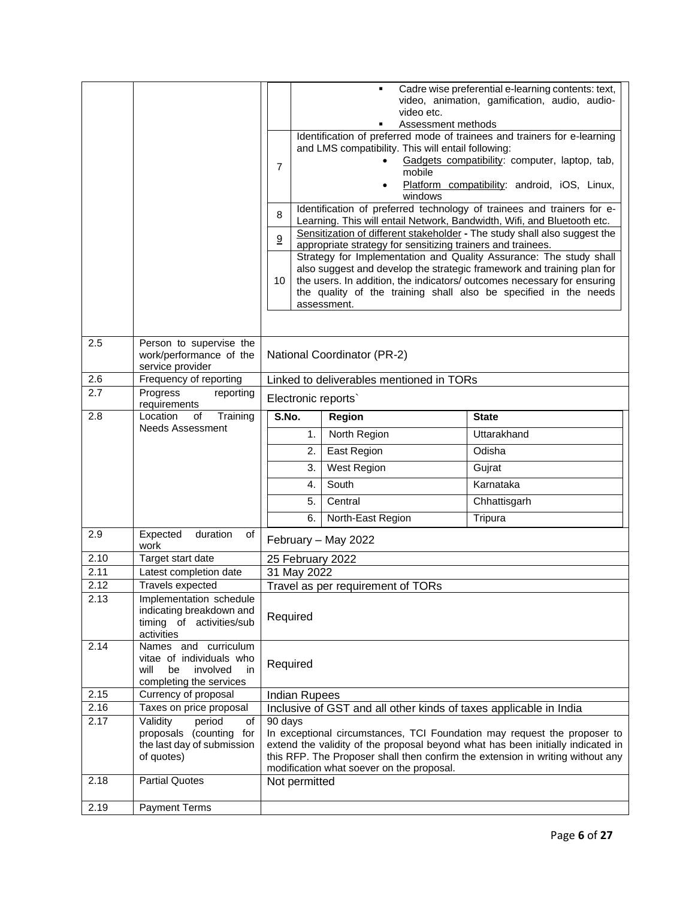|      |                                                      |                                                                      | Cadre wise preferential e-learning contents: text,<br>video, animation, gamification, audio, audio-<br>video etc. |                                                                         |                                                                                                                                                   |
|------|------------------------------------------------------|----------------------------------------------------------------------|-------------------------------------------------------------------------------------------------------------------|-------------------------------------------------------------------------|---------------------------------------------------------------------------------------------------------------------------------------------------|
|      |                                                      |                                                                      | Assessment methods                                                                                                |                                                                         |                                                                                                                                                   |
|      |                                                      |                                                                      |                                                                                                                   |                                                                         | Identification of preferred mode of trainees and trainers for e-learning                                                                          |
|      |                                                      | and LMS compatibility. This will entail following:                   |                                                                                                                   |                                                                         |                                                                                                                                                   |
|      |                                                      | Gadgets compatibility: computer, laptop, tab,<br>$\overline{7}$      |                                                                                                                   |                                                                         |                                                                                                                                                   |
|      |                                                      | mobile                                                               |                                                                                                                   |                                                                         |                                                                                                                                                   |
|      |                                                      | Platform compatibility: android, iOS, Linux,<br>$\bullet$<br>windows |                                                                                                                   |                                                                         |                                                                                                                                                   |
|      |                                                      |                                                                      |                                                                                                                   |                                                                         | Identification of preferred technology of trainees and trainers for e-                                                                            |
|      |                                                      | 8                                                                    |                                                                                                                   | Learning. This will entail Network, Bandwidth, Wifi, and Bluetooth etc. |                                                                                                                                                   |
|      |                                                      |                                                                      |                                                                                                                   |                                                                         | Sensitization of different stakeholder - The study shall also suggest the                                                                         |
|      |                                                      | 9                                                                    |                                                                                                                   | appropriate strategy for sensitizing trainers and trainees.             |                                                                                                                                                   |
|      |                                                      |                                                                      |                                                                                                                   |                                                                         | Strategy for Implementation and Quality Assurance: The study shall                                                                                |
|      |                                                      | 10                                                                   |                                                                                                                   |                                                                         | also suggest and develop the strategic framework and training plan for<br>the users. In addition, the indicators/ outcomes necessary for ensuring |
|      |                                                      |                                                                      |                                                                                                                   |                                                                         | the quality of the training shall also be specified in the needs                                                                                  |
|      |                                                      |                                                                      |                                                                                                                   | assessment.                                                             |                                                                                                                                                   |
|      |                                                      |                                                                      |                                                                                                                   |                                                                         |                                                                                                                                                   |
|      |                                                      |                                                                      |                                                                                                                   |                                                                         |                                                                                                                                                   |
| 2.5  | Person to supervise the                              |                                                                      |                                                                                                                   |                                                                         |                                                                                                                                                   |
|      | work/performance of the<br>service provider          |                                                                      |                                                                                                                   | National Coordinator (PR-2)                                             |                                                                                                                                                   |
| 2.6  | Frequency of reporting                               | Linked to deliverables mentioned in TORs                             |                                                                                                                   |                                                                         |                                                                                                                                                   |
| 2.7  | Progress<br>reporting                                | Electronic reports`                                                  |                                                                                                                   |                                                                         |                                                                                                                                                   |
|      | requirements                                         |                                                                      |                                                                                                                   |                                                                         |                                                                                                                                                   |
| 2.8  | Location<br>Training<br>of                           | S.No.<br><b>State</b><br><b>Region</b>                               |                                                                                                                   |                                                                         |                                                                                                                                                   |
|      | Needs Assessment                                     |                                                                      | 1.                                                                                                                | North Region                                                            | Uttarakhand                                                                                                                                       |
|      |                                                      |                                                                      | 2.                                                                                                                | East Region                                                             | Odisha                                                                                                                                            |
|      |                                                      |                                                                      | 3.                                                                                                                | West Region                                                             | Gujrat                                                                                                                                            |
|      |                                                      |                                                                      | 4.                                                                                                                | South                                                                   | Karnataka                                                                                                                                         |
|      |                                                      |                                                                      | 5.                                                                                                                | Central                                                                 | Chhattisgarh                                                                                                                                      |
|      |                                                      |                                                                      | 6.                                                                                                                | North-East Region                                                       | Tripura                                                                                                                                           |
| 2.9  | Expected<br>duration                                 |                                                                      |                                                                                                                   |                                                                         |                                                                                                                                                   |
|      | οf<br>work                                           |                                                                      |                                                                                                                   | February - May 2022                                                     |                                                                                                                                                   |
| 2.10 | Target start date                                    |                                                                      |                                                                                                                   | 25 February 2022                                                        |                                                                                                                                                   |
| 2.11 | Latest completion date                               |                                                                      | 31 May 2022                                                                                                       |                                                                         |                                                                                                                                                   |
| 2.12 | Travels expected                                     |                                                                      |                                                                                                                   | Travel as per requirement of TORs                                       |                                                                                                                                                   |
| 2.13 | Implementation schedule                              |                                                                      |                                                                                                                   |                                                                         |                                                                                                                                                   |
|      | indicating breakdown and<br>timing of activities/sub | Required                                                             |                                                                                                                   |                                                                         |                                                                                                                                                   |
|      | activities                                           |                                                                      |                                                                                                                   |                                                                         |                                                                                                                                                   |
| 2.14 | Names and curriculum                                 |                                                                      |                                                                                                                   |                                                                         |                                                                                                                                                   |
|      | vitae of individuals who                             | Required                                                             |                                                                                                                   |                                                                         |                                                                                                                                                   |
|      | will<br>be<br>involved<br>in                         |                                                                      |                                                                                                                   |                                                                         |                                                                                                                                                   |
| 2.15 | completing the services                              |                                                                      |                                                                                                                   |                                                                         |                                                                                                                                                   |
| 2.16 | Currency of proposal<br>Taxes on price proposal      |                                                                      | <b>Indian Rupees</b>                                                                                              | Inclusive of GST and all other kinds of taxes applicable in India       |                                                                                                                                                   |
| 2.17 | Validity<br>period<br>of                             | 90 days                                                              |                                                                                                                   |                                                                         |                                                                                                                                                   |
|      | proposals (counting for                              |                                                                      |                                                                                                                   |                                                                         | In exceptional circumstances, TCI Foundation may request the proposer to                                                                          |
|      | the last day of submission                           |                                                                      |                                                                                                                   |                                                                         | extend the validity of the proposal beyond what has been initially indicated in                                                                   |
|      | of quotes)                                           |                                                                      |                                                                                                                   |                                                                         | this RFP. The Proposer shall then confirm the extension in writing without any                                                                    |
|      |                                                      |                                                                      |                                                                                                                   | modification what soever on the proposal.                               |                                                                                                                                                   |
| 2.18 | <b>Partial Quotes</b>                                |                                                                      | Not permitted                                                                                                     |                                                                         |                                                                                                                                                   |
| 2.19 | <b>Payment Terms</b>                                 |                                                                      |                                                                                                                   |                                                                         |                                                                                                                                                   |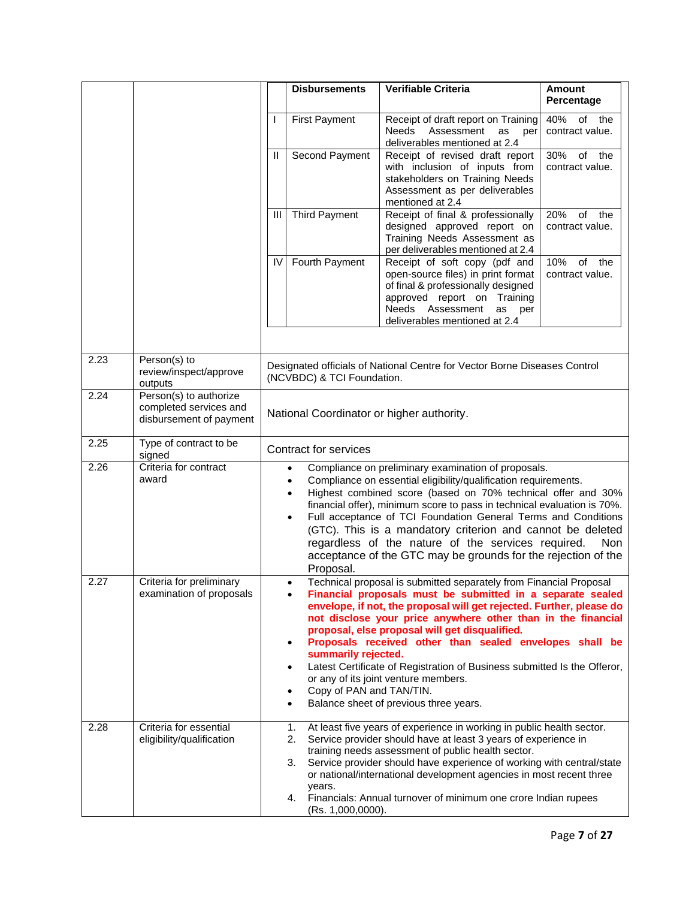|      |                                                                             |                                                                                                                                                                                                                                                                                                                                                                                                                                                                                                                                                                                                                                                                 | <b>Disbursements</b>       | Verifiable Criteria                                                                                                                                                                                        | Amount<br>Percentage                |
|------|-----------------------------------------------------------------------------|-----------------------------------------------------------------------------------------------------------------------------------------------------------------------------------------------------------------------------------------------------------------------------------------------------------------------------------------------------------------------------------------------------------------------------------------------------------------------------------------------------------------------------------------------------------------------------------------------------------------------------------------------------------------|----------------------------|------------------------------------------------------------------------------------------------------------------------------------------------------------------------------------------------------------|-------------------------------------|
|      |                                                                             | I.                                                                                                                                                                                                                                                                                                                                                                                                                                                                                                                                                                                                                                                              | <b>First Payment</b>       | Receipt of draft report on Training<br>Needs<br>Assessment<br>as<br>per<br>deliverables mentioned at 2.4                                                                                                   | 40%<br>of<br>the<br>contract value. |
|      |                                                                             | Ш                                                                                                                                                                                                                                                                                                                                                                                                                                                                                                                                                                                                                                                               | Second Payment             | Receipt of revised draft report<br>with inclusion of inputs from<br>stakeholders on Training Needs<br>Assessment as per deliverables<br>mentioned at 2.4                                                   | of the<br>30%<br>contract value.    |
|      |                                                                             | Ш                                                                                                                                                                                                                                                                                                                                                                                                                                                                                                                                                                                                                                                               | <b>Third Payment</b>       | Receipt of final & professionally<br>designed approved report on<br>Training Needs Assessment as<br>per deliverables mentioned at 2.4                                                                      | 20%<br>of<br>the<br>contract value. |
|      |                                                                             | IV                                                                                                                                                                                                                                                                                                                                                                                                                                                                                                                                                                                                                                                              | Fourth Payment             | Receipt of soft copy (pdf and<br>open-source files) in print format<br>of final & professionally designed<br>approved report on Training<br>Needs Assessment<br>as<br>per<br>deliverables mentioned at 2.4 | 10%<br>of<br>the<br>contract value. |
| 2.23 | Person(s) to<br>review/inspect/approve<br>outputs                           |                                                                                                                                                                                                                                                                                                                                                                                                                                                                                                                                                                                                                                                                 | (NCVBDC) & TCI Foundation. | Designated officials of National Centre for Vector Borne Diseases Control                                                                                                                                  |                                     |
| 2.24 | Person(s) to authorize<br>completed services and<br>disbursement of payment | National Coordinator or higher authority.                                                                                                                                                                                                                                                                                                                                                                                                                                                                                                                                                                                                                       |                            |                                                                                                                                                                                                            |                                     |
| 2.25 | Type of contract to be<br>signed                                            | <b>Contract for services</b>                                                                                                                                                                                                                                                                                                                                                                                                                                                                                                                                                                                                                                    |                            |                                                                                                                                                                                                            |                                     |
| 2.26 | Criteria for contract<br>award                                              | Compliance on preliminary examination of proposals.<br>$\bullet$<br>Compliance on essential eligibility/qualification requirements.<br>Highest combined score (based on 70% technical offer and 30%<br>financial offer), minimum score to pass in technical evaluation is 70%.<br>Full acceptance of TCI Foundation General Terms and Conditions<br>$\bullet$<br>(GTC). This is a mandatory criterion and cannot be deleted<br>regardless of the nature of the services required.<br><b>Non</b><br>acceptance of the GTC may be grounds for the rejection of the<br>Proposal.                                                                                   |                            |                                                                                                                                                                                                            |                                     |
| 2.27 | Criteria for preliminary<br>examination of proposals                        | Technical proposal is submitted separately from Financial Proposal<br>٠<br>Financial proposals must be submitted in a separate sealed<br>envelope, if not, the proposal will get rejected. Further, please do<br>not disclose your price anywhere other than in the financial<br>proposal, else proposal will get disqualified.<br>Proposals received other than sealed envelopes shall be<br>$\bullet$<br>summarily rejected.<br>Latest Certificate of Registration of Business submitted Is the Offeror,<br>$\bullet$<br>or any of its joint venture members.<br>Copy of PAN and TAN/TIN.<br>$\bullet$<br>Balance sheet of previous three years.<br>$\bullet$ |                            |                                                                                                                                                                                                            |                                     |
| 2.28 | Criteria for essential<br>eligibility/qualification                         | At least five years of experience in working in public health sector.<br>1.<br>Service provider should have at least 3 years of experience in<br>2.<br>training needs assessment of public health sector.<br>Service provider should have experience of working with central/state<br>3.<br>or national/international development agencies in most recent three<br>years.<br>Financials: Annual turnover of minimum one crore Indian rupees<br>4.<br>(Rs. 1,000,0000).                                                                                                                                                                                          |                            |                                                                                                                                                                                                            |                                     |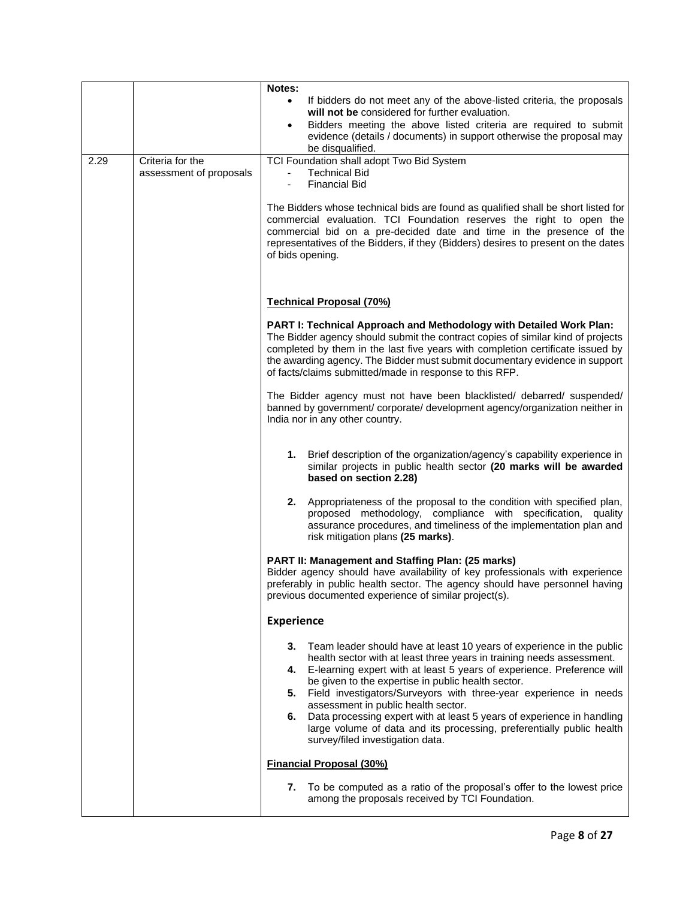|      |                                             | Notes:<br>If bidders do not meet any of the above-listed criteria, the proposals<br>$\bullet$<br>will not be considered for further evaluation.<br>Bidders meeting the above listed criteria are required to submit<br>$\bullet$<br>evidence (details / documents) in support otherwise the proposal may<br>be disqualified.                                                                                                                                                                                                                                                                              |
|------|---------------------------------------------|-----------------------------------------------------------------------------------------------------------------------------------------------------------------------------------------------------------------------------------------------------------------------------------------------------------------------------------------------------------------------------------------------------------------------------------------------------------------------------------------------------------------------------------------------------------------------------------------------------------|
| 2.29 | Criteria for the<br>assessment of proposals | TCI Foundation shall adopt Two Bid System<br><b>Technical Bid</b><br><b>Financial Bid</b><br>The Bidders whose technical bids are found as qualified shall be short listed for<br>commercial evaluation. TCI Foundation reserves the right to open the<br>commercial bid on a pre-decided date and time in the presence of the<br>representatives of the Bidders, if they (Bidders) desires to present on the dates<br>of bids opening.                                                                                                                                                                   |
|      |                                             | <b>Technical Proposal (70%)</b>                                                                                                                                                                                                                                                                                                                                                                                                                                                                                                                                                                           |
|      |                                             | PART I: Technical Approach and Methodology with Detailed Work Plan:<br>The Bidder agency should submit the contract copies of similar kind of projects<br>completed by them in the last five years with completion certificate issued by<br>the awarding agency. The Bidder must submit documentary evidence in support<br>of facts/claims submitted/made in response to this RFP.                                                                                                                                                                                                                        |
|      |                                             | The Bidder agency must not have been blacklisted/ debarred/ suspended/<br>banned by government/ corporate/ development agency/organization neither in<br>India nor in any other country.                                                                                                                                                                                                                                                                                                                                                                                                                  |
|      |                                             | 1.<br>Brief description of the organization/agency's capability experience in<br>similar projects in public health sector (20 marks will be awarded<br>based on section 2.28)                                                                                                                                                                                                                                                                                                                                                                                                                             |
|      |                                             | 2.<br>Appropriateness of the proposal to the condition with specified plan,<br>proposed methodology, compliance with specification, quality<br>assurance procedures, and timeliness of the implementation plan and<br>risk mitigation plans (25 marks).                                                                                                                                                                                                                                                                                                                                                   |
|      |                                             | PART II: Management and Staffing Plan: (25 marks)<br>Bidder agency should have availability of key professionals with experience<br>preferably in public health sector. The agency should have personnel having<br>previous documented experience of similar project(s).                                                                                                                                                                                                                                                                                                                                  |
|      |                                             | <b>Experience</b>                                                                                                                                                                                                                                                                                                                                                                                                                                                                                                                                                                                         |
|      |                                             | Team leader should have at least 10 years of experience in the public<br>3.<br>health sector with at least three years in training needs assessment.<br>E-learning expert with at least 5 years of experience. Preference will<br>4.<br>be given to the expertise in public health sector.<br>5.<br>Field investigators/Surveyors with three-year experience in needs<br>assessment in public health sector.<br>Data processing expert with at least 5 years of experience in handling<br>6.<br>large volume of data and its processing, preferentially public health<br>survey/filed investigation data. |
|      |                                             | <b>Financial Proposal (30%)</b>                                                                                                                                                                                                                                                                                                                                                                                                                                                                                                                                                                           |
|      |                                             | To be computed as a ratio of the proposal's offer to the lowest price<br>7.<br>among the proposals received by TCI Foundation.                                                                                                                                                                                                                                                                                                                                                                                                                                                                            |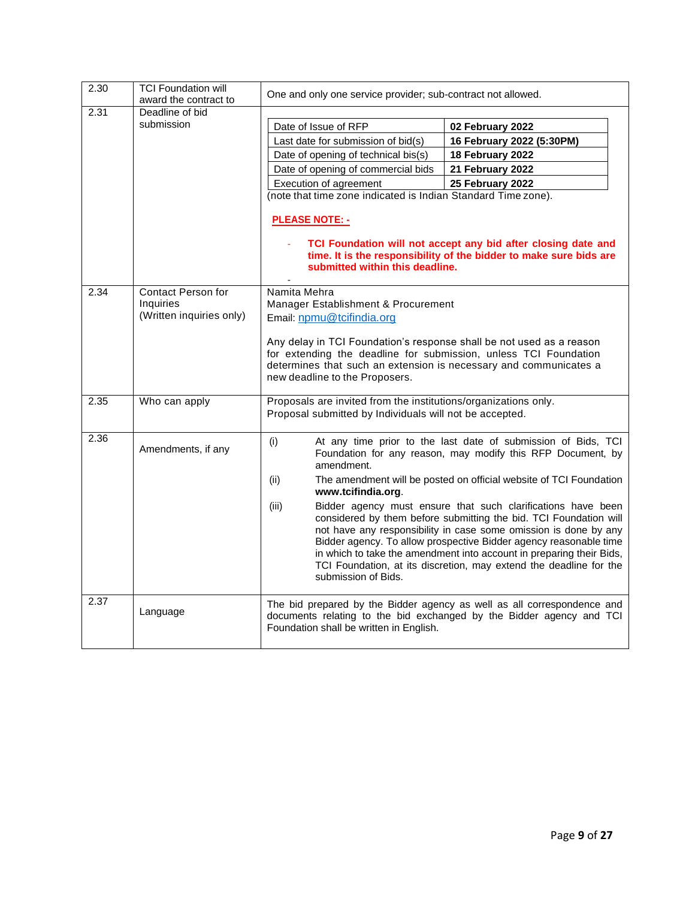| 2.30 | <b>TCI Foundation will</b><br>award the contract to | One and only one service provider; sub-contract not allowed.                                                                                                                                                                                    |                                                                                                                                                                                                                                                                                                                                                                                                                          |  |  |  |
|------|-----------------------------------------------------|-------------------------------------------------------------------------------------------------------------------------------------------------------------------------------------------------------------------------------------------------|--------------------------------------------------------------------------------------------------------------------------------------------------------------------------------------------------------------------------------------------------------------------------------------------------------------------------------------------------------------------------------------------------------------------------|--|--|--|
| 2.31 | Deadline of bid                                     |                                                                                                                                                                                                                                                 |                                                                                                                                                                                                                                                                                                                                                                                                                          |  |  |  |
|      | submission                                          | Date of Issue of RFP                                                                                                                                                                                                                            | 02 February 2022                                                                                                                                                                                                                                                                                                                                                                                                         |  |  |  |
|      |                                                     | Last date for submission of bid(s)                                                                                                                                                                                                              | 16 February 2022 (5:30PM)                                                                                                                                                                                                                                                                                                                                                                                                |  |  |  |
|      |                                                     | Date of opening of technical bis(s)                                                                                                                                                                                                             | 18 February 2022                                                                                                                                                                                                                                                                                                                                                                                                         |  |  |  |
|      |                                                     | Date of opening of commercial bids                                                                                                                                                                                                              | 21 February 2022                                                                                                                                                                                                                                                                                                                                                                                                         |  |  |  |
|      |                                                     | Execution of agreement                                                                                                                                                                                                                          | 25 February 2022                                                                                                                                                                                                                                                                                                                                                                                                         |  |  |  |
|      |                                                     |                                                                                                                                                                                                                                                 | (note that time zone indicated is Indian Standard Time zone).                                                                                                                                                                                                                                                                                                                                                            |  |  |  |
|      |                                                     | <b>PLEASE NOTE: -</b>                                                                                                                                                                                                                           |                                                                                                                                                                                                                                                                                                                                                                                                                          |  |  |  |
|      |                                                     | TCI Foundation will not accept any bid after closing date and<br>time. It is the responsibility of the bidder to make sure bids are<br>submitted within this deadline.                                                                          |                                                                                                                                                                                                                                                                                                                                                                                                                          |  |  |  |
| 2.34 | <b>Contact Person for</b>                           | Namita Mehra                                                                                                                                                                                                                                    |                                                                                                                                                                                                                                                                                                                                                                                                                          |  |  |  |
|      | <b>Inquiries</b><br>(Written inquiries only)        | Manager Establishment & Procurement                                                                                                                                                                                                             |                                                                                                                                                                                                                                                                                                                                                                                                                          |  |  |  |
|      |                                                     | Email: npmu@tcifindia.org                                                                                                                                                                                                                       |                                                                                                                                                                                                                                                                                                                                                                                                                          |  |  |  |
|      |                                                     | Any delay in TCI Foundation's response shall be not used as a reason<br>for extending the deadline for submission, unless TCI Foundation<br>determines that such an extension is necessary and communicates a<br>new deadline to the Proposers. |                                                                                                                                                                                                                                                                                                                                                                                                                          |  |  |  |
| 2.35 | Who can apply                                       | Proposals are invited from the institutions/organizations only.<br>Proposal submitted by Individuals will not be accepted.                                                                                                                      |                                                                                                                                                                                                                                                                                                                                                                                                                          |  |  |  |
| 2.36 | Amendments, if any                                  | (i)<br>amendment.                                                                                                                                                                                                                               | At any time prior to the last date of submission of Bids, TCI<br>Foundation for any reason, may modify this RFP Document, by                                                                                                                                                                                                                                                                                             |  |  |  |
|      |                                                     | (ii)<br>www.tcifindia.org.                                                                                                                                                                                                                      | The amendment will be posted on official website of TCI Foundation                                                                                                                                                                                                                                                                                                                                                       |  |  |  |
|      |                                                     | (iii)<br>submission of Bids.                                                                                                                                                                                                                    | Bidder agency must ensure that such clarifications have been<br>considered by them before submitting the bid. TCI Foundation will<br>not have any responsibility in case some omission is done by any<br>Bidder agency. To allow prospective Bidder agency reasonable time<br>in which to take the amendment into account in preparing their Bids,<br>TCI Foundation, at its discretion, may extend the deadline for the |  |  |  |
| 2.37 | Language                                            | Foundation shall be written in English.                                                                                                                                                                                                         | The bid prepared by the Bidder agency as well as all correspondence and<br>documents relating to the bid exchanged by the Bidder agency and TCI                                                                                                                                                                                                                                                                          |  |  |  |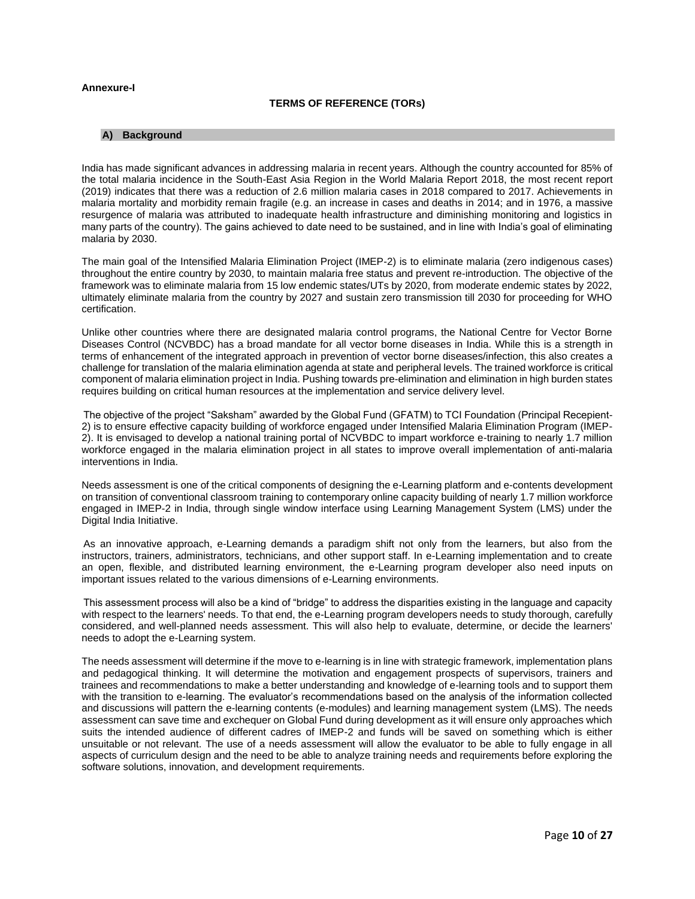## **Annexure-I**

# **TERMS OF REFERENCE (TORs)**

#### **A) Background**

India has made significant advances in addressing malaria in recent years. Although the country accounted for 85% of the total malaria incidence in the South-East Asia Region in the World Malaria Report 2018, the most recent report (2019) indicates that there was a reduction of 2.6 million malaria cases in 2018 compared to 2017. Achievements in malaria mortality and morbidity remain fragile (e.g. an increase in cases and deaths in 2014; and in 1976, a massive resurgence of malaria was attributed to inadequate health infrastructure and diminishing monitoring and logistics in many parts of the country). The gains achieved to date need to be sustained, and in line with India's goal of eliminating malaria by 2030.

The main goal of the Intensified Malaria Elimination Project (IMEP-2) is to eliminate malaria (zero indigenous cases) throughout the entire country by 2030, to maintain malaria free status and prevent re-introduction. The objective of the framework was to eliminate malaria from 15 low endemic states/UTs by 2020, from moderate endemic states by 2022, ultimately eliminate malaria from the country by 2027 and sustain zero transmission till 2030 for proceeding for WHO certification.

Unlike other countries where there are designated malaria control programs, the National Centre for Vector Borne Diseases Control (NCVBDC) has a broad mandate for all vector borne diseases in India. While this is a strength in terms of enhancement of the integrated approach in prevention of vector borne diseases/infection, this also creates a challenge for translation of the malaria elimination agenda at state and peripheral levels. The trained workforce is critical component of malaria elimination project in India. Pushing towards pre-elimination and elimination in high burden states requires building on critical human resources at the implementation and service delivery level.

The objective of the project "Saksham" awarded by the Global Fund (GFATM) to TCI Foundation (Principal Recepient-2) is to ensure effective capacity building of workforce engaged under Intensified Malaria Elimination Program (IMEP-2). It is envisaged to develop a national training portal of NCVBDC to impart workforce e-training to nearly 1.7 million workforce engaged in the malaria elimination project in all states to improve overall implementation of anti-malaria interventions in India.

Needs assessment is one of the critical components of designing the e-Learning platform and e-contents development on transition of conventional classroom training to contemporary online capacity building of nearly 1.7 million workforce engaged in IMEP-2 in India, through single window interface using Learning Management System (LMS) under the Digital India Initiative.

As an innovative approach, e-Learning demands a paradigm shift not only from the learners, but also from the instructors, trainers, administrators, technicians, and other support staff. In e-Learning implementation and to create an open, flexible, and distributed learning environment, the e-Learning program developer also need inputs on important issues related to the various dimensions of e-Learning environments.

This assessment process will also be a kind of "bridge" to address the disparities existing in the language and capacity with respect to the learners' needs. To that end, the e-Learning program developers needs to study thorough, carefully considered, and well-planned needs assessment. This will also help to evaluate, determine, or decide the learners' needs to adopt the e-Learning system.

The needs assessment will determine if the move to e-learning is in line with strategic framework, implementation plans and pedagogical thinking. It will determine the motivation and engagement prospects of supervisors, trainers and trainees and recommendations to make a better understanding and knowledge of e-learning tools and to support them with the transition to e-learning. The evaluator's recommendations based on the analysis of the information collected and discussions will pattern the e-learning contents (e-modules) and learning management system (LMS). The needs assessment can save time and exchequer on Global Fund during development as it will ensure only approaches which suits the intended audience of different cadres of IMEP-2 and funds will be saved on something which is either unsuitable or not relevant. The use of a needs assessment will allow the evaluator to be able to fully engage in all aspects of curriculum design and the need to be able to analyze training needs and requirements before exploring the software solutions, innovation, and development requirements.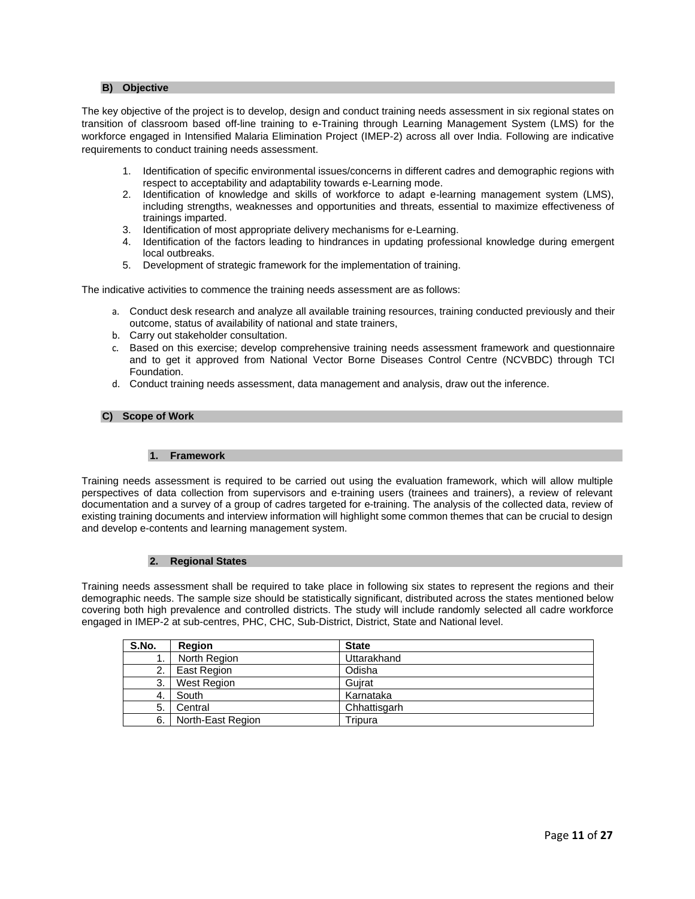## **B) Objective**

The key objective of the project is to develop, design and conduct training needs assessment in six regional states on transition of classroom based off-line training to e-Training through Learning Management System (LMS) for the workforce engaged in Intensified Malaria Elimination Project (IMEP-2) across all over India. Following are indicative requirements to conduct training needs assessment.

- 1. Identification of specific environmental issues/concerns in different cadres and demographic regions with respect to acceptability and adaptability towards e-Learning mode.
- 2. Identification of knowledge and skills of workforce to adapt e-learning management system (LMS), including strengths, weaknesses and opportunities and threats, essential to maximize effectiveness of trainings imparted.
- 3. Identification of most appropriate delivery mechanisms for e-Learning.
- 4. Identification of the factors leading to hindrances in updating professional knowledge during emergent local outbreaks.
- 5. Development of strategic framework for the implementation of training.

The indicative activities to commence the training needs assessment are as follows:

- a. Conduct desk research and analyze all available training resources, training conducted previously and their outcome, status of availability of national and state trainers,
- b. Carry out stakeholder consultation.
- c. Based on this exercise; develop comprehensive training needs assessment framework and questionnaire and to get it approved from National Vector Borne Diseases Control Centre (NCVBDC) through TCI Foundation.
- d. Conduct training needs assessment, data management and analysis, draw out the inference.

#### **C) Scope of Work**

#### **1. Framework**

Training needs assessment is required to be carried out using the evaluation framework, which will allow multiple perspectives of data collection from supervisors and e-training users (trainees and trainers), a review of relevant documentation and a survey of a group of cadres targeted for e-training. The analysis of the collected data, review of existing training documents and interview information will highlight some common themes that can be crucial to design and develop e-contents and learning management system.

#### **2. Regional States**

Training needs assessment shall be required to take place in following six states to represent the regions and their demographic needs. The sample size should be statistically significant, distributed across the states mentioned below covering both high prevalence and controlled districts. The study will include randomly selected all cadre workforce engaged in IMEP-2 at sub-centres, PHC, CHC, Sub-District, District, State and National level.

| S.No. | Region            | <b>State</b> |
|-------|-------------------|--------------|
| ι.    | North Region      | Uttarakhand  |
| 2.    | East Region       | Odisha       |
| 3.    | West Region       | Guirat       |
| 4.    | South             | Karnataka    |
| 5.    | Central           | Chhattisgarh |
| 6.    | North-East Region | Tripura      |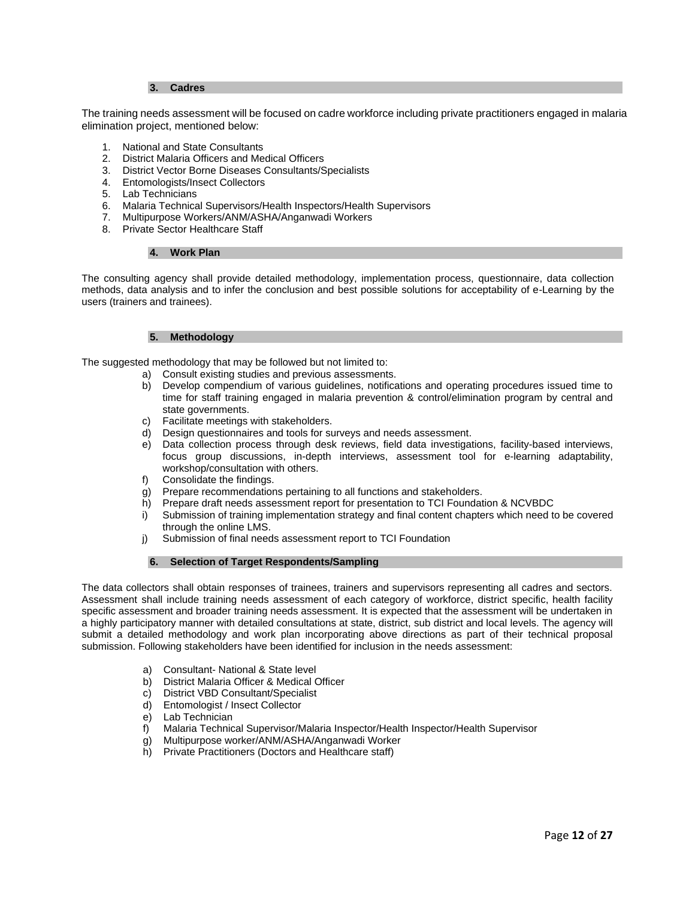## **3. Cadres**

The training needs assessment will be focused on cadre workforce including private practitioners engaged in malaria elimination project, mentioned below:

- 1. National and State Consultants
- 2. District Malaria Officers and Medical Officers
- 3. District Vector Borne Diseases Consultants/Specialists
- 4. Entomologists/Insect Collectors
- 5. Lab Technicians
- 6. Malaria Technical Supervisors/Health Inspectors/Health Supervisors
- 7. Multipurpose Workers/ANM/ASHA/Anganwadi Workers
- 8. Private Sector Healthcare Staff

#### **4. Work Plan**

The consulting agency shall provide detailed methodology, implementation process, questionnaire, data collection methods, data analysis and to infer the conclusion and best possible solutions for acceptability of e-Learning by the users (trainers and trainees).

#### **5. Methodology**

The suggested methodology that may be followed but not limited to:

- a) Consult existing studies and previous assessments.
- b) Develop compendium of various guidelines, notifications and operating procedures issued time to time for staff training engaged in malaria prevention & control/elimination program by central and state governments.
- c) Facilitate meetings with stakeholders.
- d) Design questionnaires and tools for surveys and needs assessment.<br>
e) Data collection process through desk reviews, field data investigat
- Data collection process through desk reviews, field data investigations, facility-based interviews, focus group discussions, in-depth interviews, assessment tool for e-learning adaptability, workshop/consultation with others.
- f) Consolidate the findings.
- g) Prepare recommendations pertaining to all functions and stakeholders.
- h) Prepare draft needs assessment report for presentation to TCI Foundation & NCVBDC
- i) Submission of training implementation strategy and final content chapters which need to be covered through the online LMS.
- j) Submission of final needs assessment report to TCI Foundation

# **6. Selection of Target Respondents/Sampling**

The data collectors shall obtain responses of trainees, trainers and supervisors representing all cadres and sectors. Assessment shall include training needs assessment of each category of workforce, district specific, health facility specific assessment and broader training needs assessment. It is expected that the assessment will be undertaken in a highly participatory manner with detailed consultations at state, district, sub district and local levels. The agency will submit a detailed methodology and work plan incorporating above directions as part of their technical proposal submission. Following stakeholders have been identified for inclusion in the needs assessment:

- a) Consultant- National & State level
- b) District Malaria Officer & Medical Officer
- c) District VBD Consultant/Specialist
- d) Entomologist / Insect Collector
- e) Lab Technician
- f) Malaria Technical Supervisor/Malaria Inspector/Health Inspector/Health Supervisor
- g) Multipurpose worker/ANM/ASHA/Anganwadi Worker
- h) Private Practitioners (Doctors and Healthcare staff)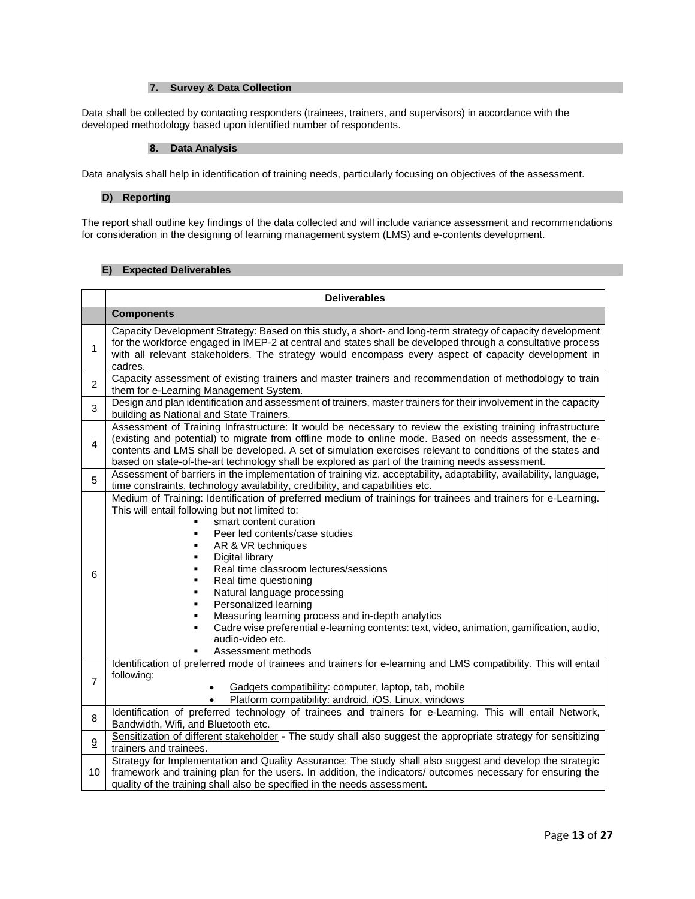# **7. Survey & Data Collection**

Data shall be collected by contacting responders (trainees, trainers, and supervisors) in accordance with the developed methodology based upon identified number of respondents.

#### **8. Data Analysis**

Data analysis shall help in identification of training needs, particularly focusing on objectives of the assessment.

#### **D) Reporting**

The report shall outline key findings of the data collected and will include variance assessment and recommendations for consideration in the designing of learning management system (LMS) and e-contents development.

# **E) Expected Deliverables**

|                | <b>Deliverables</b>                                                                                                                                                                                                                                                                                                                                                                                                                                                                                                                                                                                                                        |  |  |  |  |
|----------------|--------------------------------------------------------------------------------------------------------------------------------------------------------------------------------------------------------------------------------------------------------------------------------------------------------------------------------------------------------------------------------------------------------------------------------------------------------------------------------------------------------------------------------------------------------------------------------------------------------------------------------------------|--|--|--|--|
|                | <b>Components</b>                                                                                                                                                                                                                                                                                                                                                                                                                                                                                                                                                                                                                          |  |  |  |  |
| 1              | Capacity Development Strategy: Based on this study, a short- and long-term strategy of capacity development<br>for the workforce engaged in IMEP-2 at central and states shall be developed through a consultative process<br>with all relevant stakeholders. The strategy would encompass every aspect of capacity development in<br>cadres.                                                                                                                                                                                                                                                                                              |  |  |  |  |
| $\overline{2}$ | Capacity assessment of existing trainers and master trainers and recommendation of methodology to train<br>them for e-Learning Management System.                                                                                                                                                                                                                                                                                                                                                                                                                                                                                          |  |  |  |  |
| 3              | Design and plan identification and assessment of trainers, master trainers for their involvement in the capacity<br>building as National and State Trainers.                                                                                                                                                                                                                                                                                                                                                                                                                                                                               |  |  |  |  |
| 4              | Assessment of Training Infrastructure: It would be necessary to review the existing training infrastructure<br>(existing and potential) to migrate from offline mode to online mode. Based on needs assessment, the e-<br>contents and LMS shall be developed. A set of simulation exercises relevant to conditions of the states and<br>based on state-of-the-art technology shall be explored as part of the training needs assessment.                                                                                                                                                                                                  |  |  |  |  |
| 5              | Assessment of barriers in the implementation of training viz. acceptability, adaptability, availability, language,<br>time constraints, technology availability, credibility, and capabilities etc.                                                                                                                                                                                                                                                                                                                                                                                                                                        |  |  |  |  |
| 6              | Medium of Training: Identification of preferred medium of trainings for trainees and trainers for e-Learning.<br>This will entail following but not limited to:<br>smart content curation<br>Peer led contents/case studies<br>AR & VR techniques<br>Digital library<br>٠<br>Real time classroom lectures/sessions<br>٠<br>Real time questioning<br>٠<br>Natural language processing<br>٠<br>Personalized learning<br>٠<br>Measuring learning process and in-depth analytics<br>٠<br>Cadre wise preferential e-learning contents: text, video, animation, gamification, audio,<br>$\blacksquare$<br>audio-video etc.<br>Assessment methods |  |  |  |  |
| $\overline{7}$ | Identification of preferred mode of trainees and trainers for e-learning and LMS compatibility. This will entail<br>following:<br>Gadgets compatibility: computer, laptop, tab, mobile<br>$\bullet$<br>Platform compatibility: android, iOS, Linux, windows<br>$\bullet$                                                                                                                                                                                                                                                                                                                                                                   |  |  |  |  |
| 8              | Identification of preferred technology of trainees and trainers for e-Learning. This will entail Network,<br>Bandwidth, Wifi, and Bluetooth etc.                                                                                                                                                                                                                                                                                                                                                                                                                                                                                           |  |  |  |  |
| 9              | Sensitization of different stakeholder - The study shall also suggest the appropriate strategy for sensitizing<br>trainers and trainees.                                                                                                                                                                                                                                                                                                                                                                                                                                                                                                   |  |  |  |  |
| 10             | Strategy for Implementation and Quality Assurance: The study shall also suggest and develop the strategic<br>framework and training plan for the users. In addition, the indicators/ outcomes necessary for ensuring the<br>quality of the training shall also be specified in the needs assessment.                                                                                                                                                                                                                                                                                                                                       |  |  |  |  |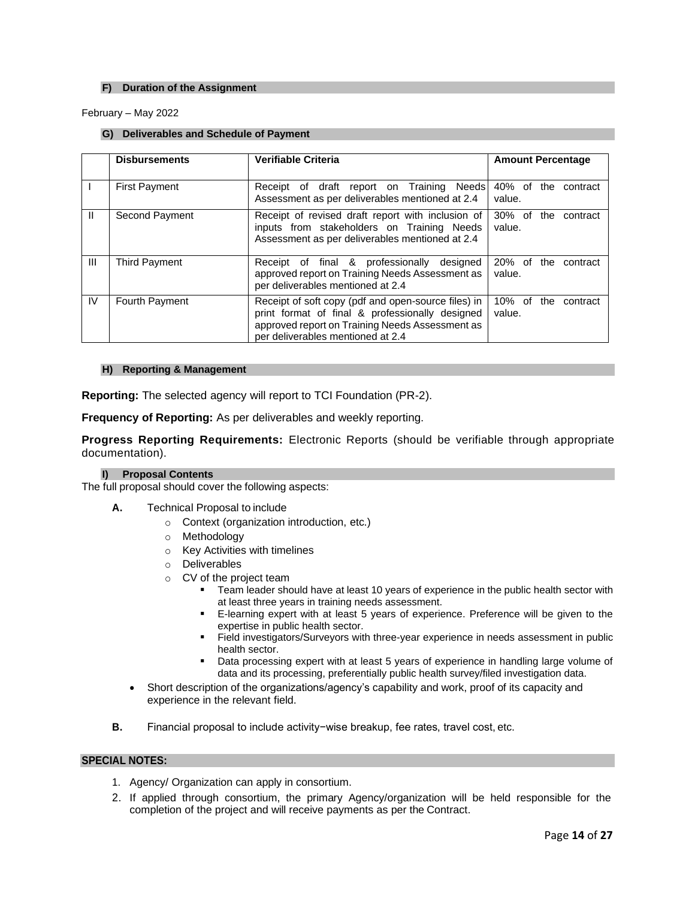# **F) Duration of the Assignment**

February – May 2022

## **G) Deliverables and Schedule of Payment**

|                | <b>Disbursements</b> | <b>Verifiable Criteria</b>                                                                                                                                                                     | <b>Amount Percentage</b>               |  |  |
|----------------|----------------------|------------------------------------------------------------------------------------------------------------------------------------------------------------------------------------------------|----------------------------------------|--|--|
|                | <b>First Payment</b> | Receipt of draft report on Training Needs<br>Assessment as per deliverables mentioned at 2.4                                                                                                   | 40% of<br>the<br>contract<br>value.    |  |  |
| Ш              | Second Payment       | Receipt of revised draft report with inclusion of<br>inputs from stakeholders on Training Needs<br>Assessment as per deliverables mentioned at 2.4                                             | 30% of the contract<br>value.          |  |  |
| $\mathbf{III}$ | <b>Third Payment</b> | Receipt of final & professionally<br>designed<br>approved report on Training Needs Assessment as<br>per deliverables mentioned at 2.4                                                          | 20% of<br>the<br>contract<br>value.    |  |  |
| IV.            | Fourth Payment       | Receipt of soft copy (pdf and open-source files) in<br>print format of final & professionally designed<br>approved report on Training Needs Assessment as<br>per deliverables mentioned at 2.4 | 10%<br>of<br>the<br>contract<br>value. |  |  |

# **H) Reporting & Management**

**Reporting:** The selected agency will report to TCI Foundation (PR-2).

**Frequency of Reporting:** As per deliverables and weekly reporting.

**Progress Reporting Requirements:** Electronic Reports (should be verifiable through appropriate documentation).

## **I) Proposal Contents**

The full proposal should cover the following aspects:

- **A.** Technical Proposal to include
	- o Context (organization introduction, etc.)
	- o Methodology
	- o Key Activities with timelines
	- o Deliverables
	- o CV of the project team
		- Team leader should have at least 10 years of experience in the public health sector with at least three years in training needs assessment.
		- **E-learning expert with at least 5 years of experience. Preference will be given to the** expertise in public health sector.
		- **Example 1** Field investigators/Surveyors with three-year experience in needs assessment in public health sector.
		- Data processing expert with at least 5 years of experience in handling large volume of data and its processing, preferentially public health survey/filed investigation data.
	- Short description of the organizations/agency's capability and work, proof of its capacity and experience in the relevant field.
- **B.** Financial proposal to include activity−wise breakup, fee rates, travel cost, etc.

# **SPECIAL NOTES:**

- 1. Agency/ Organization can apply in consortium.
- 2. If applied through consortium, the primary Agency/organization will be held responsible for the completion of the project and will receive payments as per the Contract.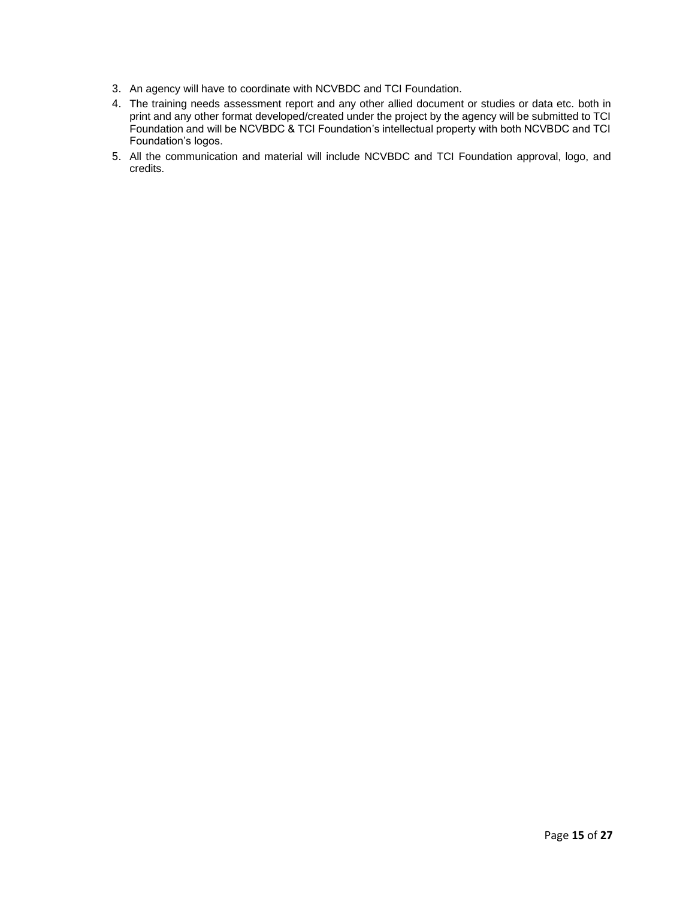- 3. An agency will have to coordinate with NCVBDC and TCI Foundation.
- 4. The training needs assessment report and any other allied document or studies or data etc. both in print and any other format developed/created under the project by the agency will be submitted to TCI Foundation and will be NCVBDC & TCI Foundation's intellectual property with both NCVBDC and TCI Foundation's logos.
- 5. All the communication and material will include NCVBDC and TCI Foundation approval, logo, and credits.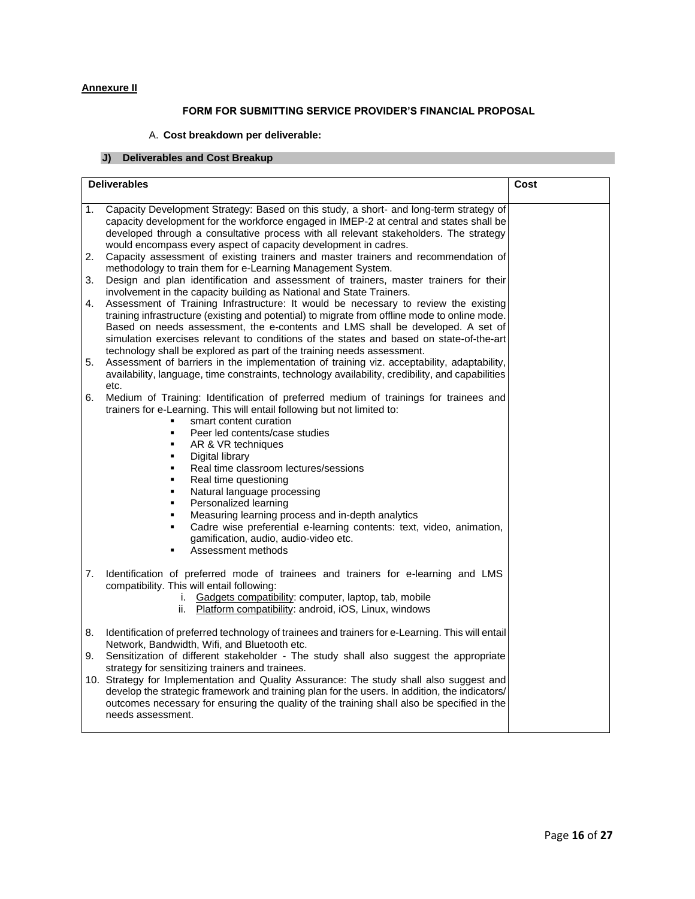# **Annexure II**

# **FORM FOR SUBMITTING SERVICE PROVIDER'S FINANCIAL PROPOSAL**

# A. **Cost breakdown per deliverable:**

# **J) Deliverables and Cost Breakup**

|          | <b>Deliverables</b>                                                                                                                                                                                                                                                                                                                                                                                                                                                                                                                                                                                                                                                               | Cost |
|----------|-----------------------------------------------------------------------------------------------------------------------------------------------------------------------------------------------------------------------------------------------------------------------------------------------------------------------------------------------------------------------------------------------------------------------------------------------------------------------------------------------------------------------------------------------------------------------------------------------------------------------------------------------------------------------------------|------|
| 1.       | Capacity Development Strategy: Based on this study, a short- and long-term strategy of<br>capacity development for the workforce engaged in IMEP-2 at central and states shall be<br>developed through a consultative process with all relevant stakeholders. The strategy<br>would encompass every aspect of capacity development in cadres.                                                                                                                                                                                                                                                                                                                                     |      |
| 2.       | Capacity assessment of existing trainers and master trainers and recommendation of<br>methodology to train them for e-Learning Management System.                                                                                                                                                                                                                                                                                                                                                                                                                                                                                                                                 |      |
| 3.       | Design and plan identification and assessment of trainers, master trainers for their<br>involvement in the capacity building as National and State Trainers.                                                                                                                                                                                                                                                                                                                                                                                                                                                                                                                      |      |
| 4.       | Assessment of Training Infrastructure: It would be necessary to review the existing<br>training infrastructure (existing and potential) to migrate from offline mode to online mode.<br>Based on needs assessment, the e-contents and LMS shall be developed. A set of<br>simulation exercises relevant to conditions of the states and based on state-of-the-art<br>technology shall be explored as part of the training needs assessment.                                                                                                                                                                                                                                       |      |
| 5.       | Assessment of barriers in the implementation of training viz. acceptability, adaptability,<br>availability, language, time constraints, technology availability, credibility, and capabilities<br>etc.                                                                                                                                                                                                                                                                                                                                                                                                                                                                            |      |
| 6.       | Medium of Training: Identification of preferred medium of trainings for trainees and<br>trainers for e-Learning. This will entail following but not limited to:<br>smart content curation<br>Peer led contents/case studies<br>٠<br>AR & VR techniques<br>Digital library<br>$\blacksquare$<br>Real time classroom lectures/sessions<br>$\blacksquare$<br>Real time questioning<br>٠<br>Natural language processing<br>٠<br>Personalized learning<br>$\blacksquare$<br>Measuring learning process and in-depth analytics<br>Cadre wise preferential e-learning contents: text, video, animation,<br>$\blacksquare$<br>gamification, audio, audio-video etc.<br>Assessment methods |      |
| 7.       | Identification of preferred mode of trainees and trainers for e-learning and LMS<br>compatibility. This will entail following:<br>i. Gadgets compatibility: computer, laptop, tab, mobile<br>Platform compatibility: android, iOS, Linux, windows<br>ii.                                                                                                                                                                                                                                                                                                                                                                                                                          |      |
| 8.<br>9. | Identification of preferred technology of trainees and trainers for e-Learning. This will entail<br>Network, Bandwidth, Wifi, and Bluetooth etc.<br>Sensitization of different stakeholder - The study shall also suggest the appropriate<br>strategy for sensitizing trainers and trainees.<br>10. Strategy for Implementation and Quality Assurance: The study shall also suggest and<br>develop the strategic framework and training plan for the users. In addition, the indicators/<br>outcomes necessary for ensuring the quality of the training shall also be specified in the<br>needs assessment.                                                                       |      |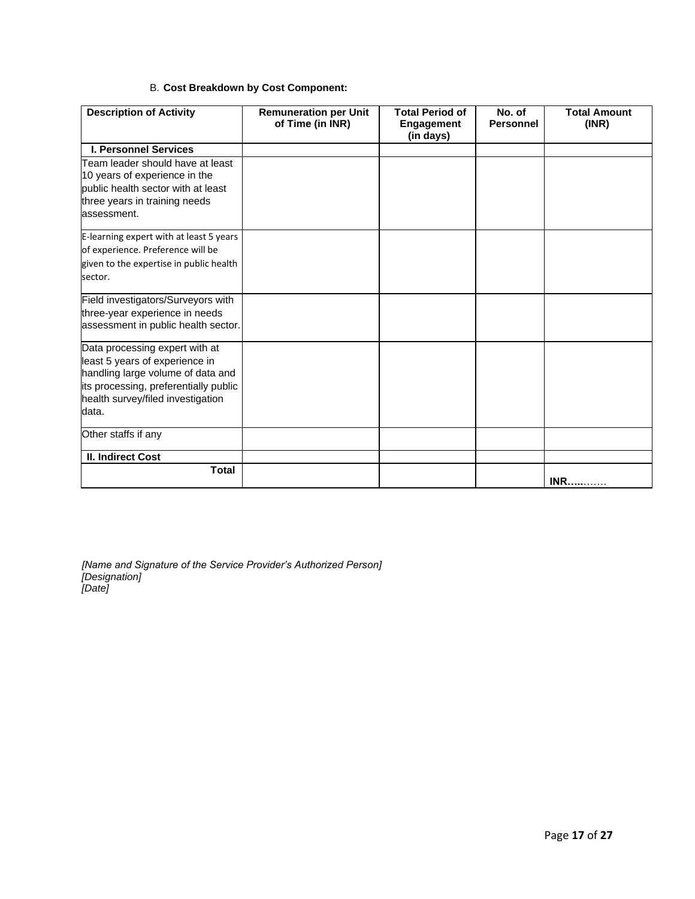# B. **Cost Breakdown by Cost Component:**

| <b>Description of Activity</b>               | <b>Remuneration per Unit</b><br>of Time (in INR) | <b>Total Period of</b><br><b>Engagement</b><br>(in days) | No. of<br><b>Personnel</b> | <b>Total Amount</b><br>(INR) |
|----------------------------------------------|--------------------------------------------------|----------------------------------------------------------|----------------------------|------------------------------|
| <b>I. Personnel Services</b>                 |                                                  |                                                          |                            |                              |
| Team leader should have at least             |                                                  |                                                          |                            |                              |
| 10 years of experience in the                |                                                  |                                                          |                            |                              |
| public health sector with at least           |                                                  |                                                          |                            |                              |
| three years in training needs<br>assessment. |                                                  |                                                          |                            |                              |
| E-learning expert with at least 5 years      |                                                  |                                                          |                            |                              |
| of experience. Preference will be            |                                                  |                                                          |                            |                              |
| given to the expertise in public health      |                                                  |                                                          |                            |                              |
| sector.                                      |                                                  |                                                          |                            |                              |
| Field investigators/Surveyors with           |                                                  |                                                          |                            |                              |
| three-year experience in needs               |                                                  |                                                          |                            |                              |
| assessment in public health sector.          |                                                  |                                                          |                            |                              |
| Data processing expert with at               |                                                  |                                                          |                            |                              |
| least 5 years of experience in               |                                                  |                                                          |                            |                              |
| handling large volume of data and            |                                                  |                                                          |                            |                              |
| its processing, preferentially public        |                                                  |                                                          |                            |                              |
| health survey/filed investigation<br>data.   |                                                  |                                                          |                            |                              |
|                                              |                                                  |                                                          |                            |                              |
| Other staffs if any                          |                                                  |                                                          |                            |                              |
| II. Indirect Cost                            |                                                  |                                                          |                            |                              |
| <b>Total</b>                                 |                                                  |                                                          |                            | <b>INR</b>                   |

*[Name and Signature of the Service Provider's Authorized Person] [Designation] [Date]*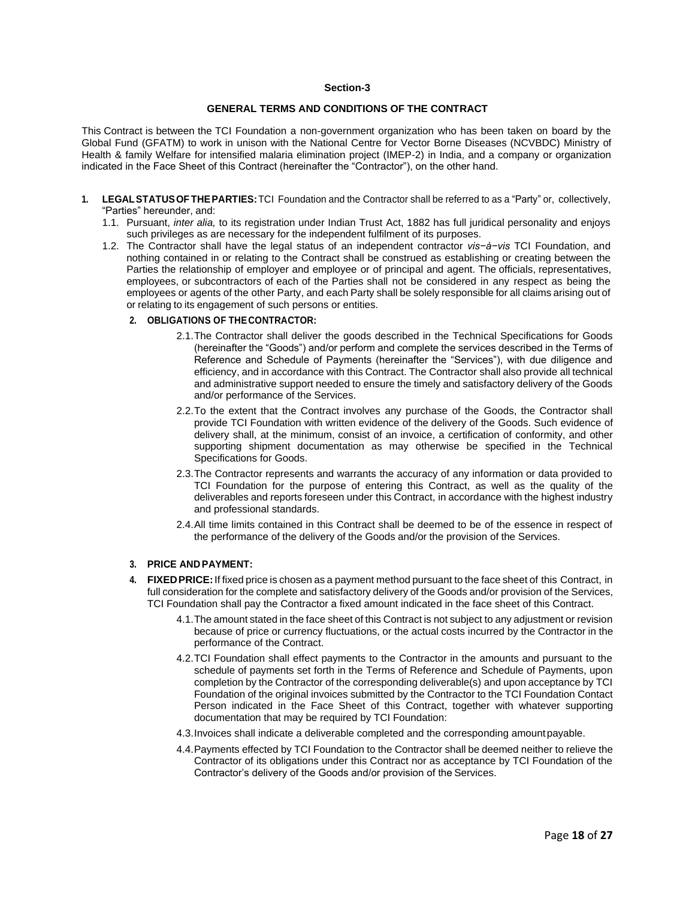#### **Section-3**

## **GENERAL TERMS AND CONDITIONS OF THE CONTRACT**

This Contract is between the TCI Foundation a non-government organization who has been taken on board by the Global Fund (GFATM) to work in unison with the National Centre for Vector Borne Diseases (NCVBDC) Ministry of Health & family Welfare for intensified malaria elimination project (IMEP-2) in India, and a company or organization indicated in the Face Sheet of this Contract (hereinafter the "Contractor"), on the other hand.

- **1. LEGALSTATUSOF THEPARTIES:**TCI Foundation and the Contractor shall be referred to as a "Party" or, collectively, "Parties" hereunder, and:
	- 1.1. Pursuant, *inter alia,* to its registration under Indian Trust Act, 1882 has full juridical personality and enjoys such privileges as are necessary for the independent fulfilment of its purposes.
	- 1.2. The Contractor shall have the legal status of an independent contractor *vis−à−vis* TCI Foundation, and nothing contained in or relating to the Contract shall be construed as establishing or creating between the Parties the relationship of employer and employee or of principal and agent. The officials, representatives, employees, or subcontractors of each of the Parties shall not be considered in any respect as being the employees or agents of the other Party, and each Party shall be solely responsible for all claims arising out of or relating to its engagement of such persons or entities.

#### **2. OBLIGATIONS OF THECONTRACTOR:**

- 2.1.The Contractor shall deliver the goods described in the Technical Specifications for Goods (hereinafter the "Goods") and/or perform and complete the services described in the Terms of Reference and Schedule of Payments (hereinafter the "Services"), with due diligence and efficiency, and in accordance with this Contract. The Contractor shall also provide all technical and administrative support needed to ensure the timely and satisfactory delivery of the Goods and/or performance of the Services.
- 2.2.To the extent that the Contract involves any purchase of the Goods, the Contractor shall provide TCI Foundation with written evidence of the delivery of the Goods. Such evidence of delivery shall, at the minimum, consist of an invoice, a certification of conformity, and other supporting shipment documentation as may otherwise be specified in the Technical Specifications for Goods.
- 2.3.The Contractor represents and warrants the accuracy of any information or data provided to TCI Foundation for the purpose of entering this Contract, as well as the quality of the deliverables and reports foreseen under this Contract, in accordance with the highest industry and professional standards.
- 2.4.All time limits contained in this Contract shall be deemed to be of the essence in respect of the performance of the delivery of the Goods and/or the provision of the Services.

# **3. PRICE ANDPAYMENT:**

- **4. FIXEDPRICE:**If fixed price is chosen as a payment method pursuant to the face sheet of this Contract, in full consideration for the complete and satisfactory delivery of the Goods and/or provision of the Services, TCI Foundation shall pay the Contractor a fixed amount indicated in the face sheet of this Contract.
	- 4.1.The amount stated in the face sheet of this Contract is not subject to any adjustment or revision because of price or currency fluctuations, or the actual costs incurred by the Contractor in the performance of the Contract.
	- 4.2.TCI Foundation shall effect payments to the Contractor in the amounts and pursuant to the schedule of payments set forth in the Terms of Reference and Schedule of Payments, upon completion by the Contractor of the corresponding deliverable(s) and upon acceptance by TCI Foundation of the original invoices submitted by the Contractor to the TCI Foundation Contact Person indicated in the Face Sheet of this Contract, together with whatever supporting documentation that may be required by TCI Foundation:
	- 4.3.Invoices shall indicate a deliverable completed and the corresponding amountpayable.
	- 4.4.Payments effected by TCI Foundation to the Contractor shall be deemed neither to relieve the Contractor of its obligations under this Contract nor as acceptance by TCI Foundation of the Contractor's delivery of the Goods and/or provision of the Services.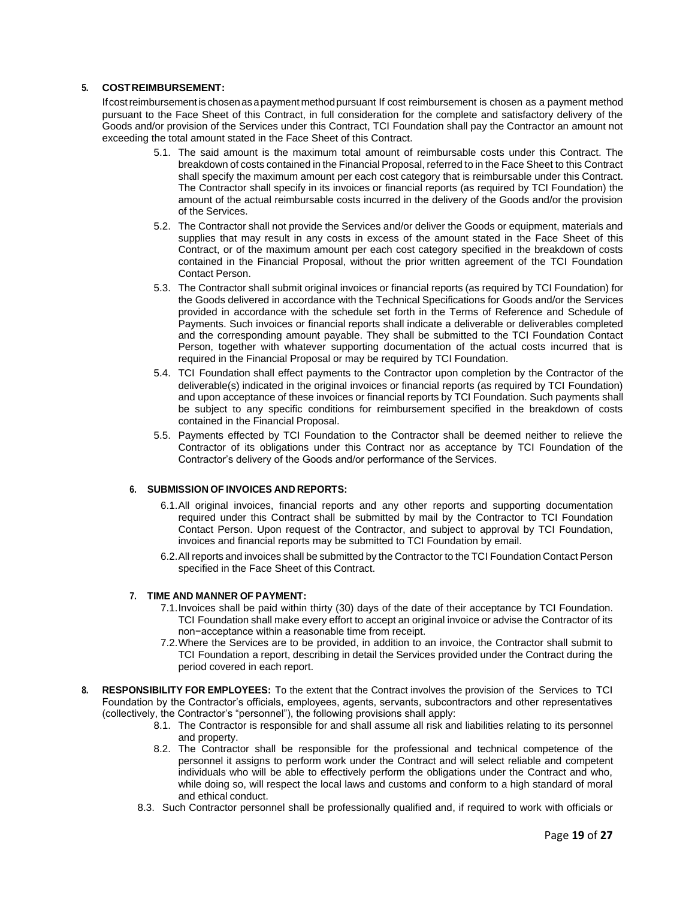# **5. COSTREIMBURSEMENT:**

Ifcostreimbursement is chosenasapayment methodpursuant If cost reimbursement is chosen as a payment method pursuant to the Face Sheet of this Contract, in full consideration for the complete and satisfactory delivery of the Goods and/or provision of the Services under this Contract, TCI Foundation shall pay the Contractor an amount not exceeding the total amount stated in the Face Sheet of this Contract.

- 5.1. The said amount is the maximum total amount of reimbursable costs under this Contract. The breakdown of costs contained in the Financial Proposal, referred to in the Face Sheet to this Contract shall specify the maximum amount per each cost category that is reimbursable under this Contract. The Contractor shall specify in its invoices or financial reports (as required by TCI Foundation) the amount of the actual reimbursable costs incurred in the delivery of the Goods and/or the provision of the Services.
- 5.2. The Contractor shall not provide the Services and/or deliver the Goods or equipment, materials and supplies that may result in any costs in excess of the amount stated in the Face Sheet of this Contract, or of the maximum amount per each cost category specified in the breakdown of costs contained in the Financial Proposal, without the prior written agreement of the TCI Foundation Contact Person.
- 5.3. The Contractor shall submit original invoices or financial reports (as required by TCI Foundation) for the Goods delivered in accordance with the Technical Specifications for Goods and/or the Services provided in accordance with the schedule set forth in the Terms of Reference and Schedule of Payments. Such invoices or financial reports shall indicate a deliverable or deliverables completed and the corresponding amount payable. They shall be submitted to the TCI Foundation Contact Person, together with whatever supporting documentation of the actual costs incurred that is required in the Financial Proposal or may be required by TCI Foundation.
- 5.4. TCI Foundation shall effect payments to the Contractor upon completion by the Contractor of the deliverable(s) indicated in the original invoices or financial reports (as required by TCI Foundation) and upon acceptance of these invoices or financial reports by TCI Foundation. Such payments shall be subject to any specific conditions for reimbursement specified in the breakdown of costs contained in the Financial Proposal.
- 5.5. Payments effected by TCI Foundation to the Contractor shall be deemed neither to relieve the Contractor of its obligations under this Contract nor as acceptance by TCI Foundation of the Contractor's delivery of the Goods and/or performance of the Services.

## **6. SUBMISSION OF INVOICES AND REPORTS:**

- 6.1.All original invoices, financial reports and any other reports and supporting documentation required under this Contract shall be submitted by mail by the Contractor to TCI Foundation Contact Person. Upon request of the Contractor, and subject to approval by TCI Foundation, invoices and financial reports may be submitted to TCI Foundation by email.
- 6.2.All reports and invoices shall be submitted by the Contractor to the TCI Foundation Contact Person specified in the Face Sheet of this Contract.

## **7. TIME AND MANNER OF PAYMENT:**

- 7.1.Invoices shall be paid within thirty (30) days of the date of their acceptance by TCI Foundation. TCI Foundation shall make every effort to accept an original invoice or advise the Contractor of its non−acceptance within a reasonable time from receipt.
- 7.2.Where the Services are to be provided, in addition to an invoice, the Contractor shall submit to TCI Foundation a report, describing in detail the Services provided under the Contract during the period covered in each report.
- **8. RESPONSIBILITY FOR EMPLOYEES:** To the extent that the Contract involves the provision of the Services to TCI Foundation by the Contractor's officials, employees, agents, servants, subcontractors and other representatives (collectively, the Contractor's "personnel"), the following provisions shall apply:
	- 8.1. The Contractor is responsible for and shall assume all risk and liabilities relating to its personnel and property.
	- 8.2. The Contractor shall be responsible for the professional and technical competence of the personnel it assigns to perform work under the Contract and will select reliable and competent individuals who will be able to effectively perform the obligations under the Contract and who, while doing so, will respect the local laws and customs and conform to a high standard of moral and ethical conduct.
	- 8.3. Such Contractor personnel shall be professionally qualified and, if required to work with officials or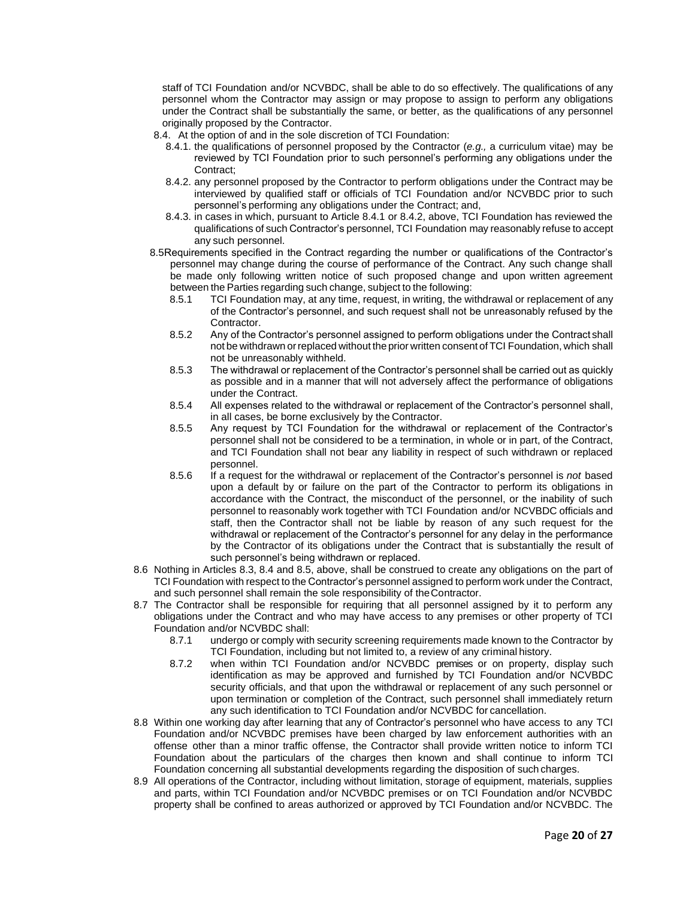staff of TCI Foundation and/or NCVBDC, shall be able to do so effectively. The qualifications of any personnel whom the Contractor may assign or may propose to assign to perform any obligations under the Contract shall be substantially the same, or better, as the qualifications of any personnel originally proposed by the Contractor.

- 8.4. At the option of and in the sole discretion of TCI Foundation:
	- 8.4.1. the qualifications of personnel proposed by the Contractor (*e.g.,* a curriculum vitae) may be reviewed by TCI Foundation prior to such personnel's performing any obligations under the Contract;
	- 8.4.2. any personnel proposed by the Contractor to perform obligations under the Contract may be interviewed by qualified staff or officials of TCI Foundation and/or NCVBDC prior to such personnel's performing any obligations under the Contract; and,
	- 8.4.3. in cases in which, pursuant to Article 8.4.1 or 8.4.2, above, TCI Foundation has reviewed the qualifications of such Contractor's personnel, TCI Foundation may reasonably refuse to accept any such personnel.
- 8.5Requirements specified in the Contract regarding the number or qualifications of the Contractor's personnel may change during the course of performance of the Contract. Any such change shall be made only following written notice of such proposed change and upon written agreement between the Parties regarding such change, subject to the following:
	- 8.5.1 TCI Foundation may, at any time, request, in writing, the withdrawal or replacement of any of the Contractor's personnel, and such request shall not be unreasonably refused by the Contractor.
	- 8.5.2 Any of the Contractor's personnel assigned to perform obligations under the Contract shall not be withdrawn orreplaced without the prior written consentof TCI Foundation, which shall not be unreasonably withheld.
	- 8.5.3 The withdrawal or replacement of the Contractor's personnel shall be carried out as quickly as possible and in a manner that will not adversely affect the performance of obligations under the Contract.
	- 8.5.4 All expenses related to the withdrawal or replacement of the Contractor's personnel shall, in all cases, be borne exclusively by the Contractor.
	- 8.5.5 Any request by TCI Foundation for the withdrawal or replacement of the Contractor's personnel shall not be considered to be a termination, in whole or in part, of the Contract, and TCI Foundation shall not bear any liability in respect of such withdrawn or replaced personnel.
	- 8.5.6 If a request for the withdrawal or replacement of the Contractor's personnel is *not* based upon a default by or failure on the part of the Contractor to perform its obligations in accordance with the Contract, the misconduct of the personnel, or the inability of such personnel to reasonably work together with TCI Foundation and/or NCVBDC officials and staff, then the Contractor shall not be liable by reason of any such request for the withdrawal or replacement of the Contractor's personnel for any delay in the performance by the Contractor of its obligations under the Contract that is substantially the result of such personnel's being withdrawn or replaced.
- 8.6 Nothing in Articles 8.3, 8.4 and 8.5, above, shall be construed to create any obligations on the part of TCI Foundation with respect to the Contractor's personnel assigned to perform work under the Contract, and such personnel shall remain the sole responsibility of theContractor.
- 8.7 The Contractor shall be responsible for requiring that all personnel assigned by it to perform any obligations under the Contract and who may have access to any premises or other property of TCI Foundation and/or NCVBDC shall:
	- 8.7.1 undergo or comply with security screening requirements made known to the Contractor by TCI Foundation, including but not limited to, a review of any criminal history.
	- 8.7.2 when within TCI Foundation and/or NCVBDC premises or on property, display such identification as may be approved and furnished by TCI Foundation and/or NCVBDC security officials, and that upon the withdrawal or replacement of any such personnel or upon termination or completion of the Contract, such personnel shall immediately return any such identification to TCI Foundation and/or NCVBDC for cancellation.
- 8.8 Within one working day after learning that any of Contractor's personnel who have access to any TCI Foundation and/or NCVBDC premises have been charged by law enforcement authorities with an offense other than a minor traffic offense, the Contractor shall provide written notice to inform TCI Foundation about the particulars of the charges then known and shall continue to inform TCI Foundation concerning all substantial developments regarding the disposition of such charges.
- 8.9 All operations of the Contractor, including without limitation, storage of equipment, materials, supplies and parts, within TCI Foundation and/or NCVBDC premises or on TCI Foundation and/or NCVBDC property shall be confined to areas authorized or approved by TCI Foundation and/or NCVBDC. The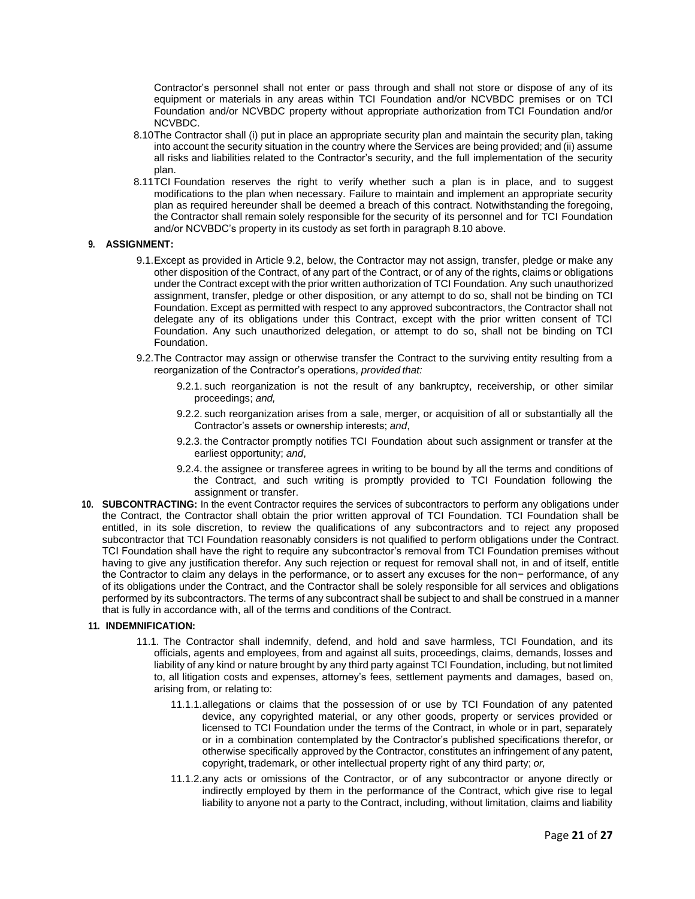Contractor's personnel shall not enter or pass through and shall not store or dispose of any of its equipment or materials in any areas within TCI Foundation and/or NCVBDC premises or on TCI Foundation and/or NCVBDC property without appropriate authorization from TCI Foundation and/or NCVBDC.

- 8.10The Contractor shall (i) put in place an appropriate security plan and maintain the security plan, taking into account the security situation in the country where the Services are being provided; and (ii) assume all risks and liabilities related to the Contractor's security, and the full implementation of the security plan.
- 8.11TCI Foundation reserves the right to verify whether such a plan is in place, and to suggest modifications to the plan when necessary. Failure to maintain and implement an appropriate security plan as required hereunder shall be deemed a breach of this contract. Notwithstanding the foregoing, the Contractor shall remain solely responsible for the security of its personnel and for TCI Foundation and/or NCVBDC's property in its custody as set forth in paragraph 8.10 above.

#### **9. ASSIGNMENT:**

- 9.1.Except as provided in Article 9.2, below, the Contractor may not assign, transfer, pledge or make any other disposition of the Contract, of any part of the Contract, or of any of the rights, claims or obligations under the Contract except with the prior written authorization of TCI Foundation. Any such unauthorized assignment, transfer, pledge or other disposition, or any attempt to do so, shall not be binding on TCI Foundation. Except as permitted with respect to any approved subcontractors, the Contractor shall not delegate any of its obligations under this Contract, except with the prior written consent of TCI Foundation. Any such unauthorized delegation, or attempt to do so, shall not be binding on TCI Foundation.
- 9.2.The Contractor may assign or otherwise transfer the Contract to the surviving entity resulting from a reorganization of the Contractor's operations, *provided that:*
	- 9.2.1. such reorganization is not the result of any bankruptcy, receivership, or other similar proceedings; *and,*
	- 9.2.2. such reorganization arises from a sale, merger, or acquisition of all or substantially all the Contractor's assets or ownership interests; *and*,
	- 9.2.3. the Contractor promptly notifies TCI Foundation about such assignment or transfer at the earliest opportunity; *and*,
	- 9.2.4. the assignee or transferee agrees in writing to be bound by all the terms and conditions of the Contract, and such writing is promptly provided to TCI Foundation following the assignment or transfer.
- **10. SUBCONTRACTING:** In the event Contractor requires the services of subcontractors to perform any obligations under the Contract, the Contractor shall obtain the prior written approval of TCI Foundation. TCI Foundation shall be entitled, in its sole discretion, to review the qualifications of any subcontractors and to reject any proposed subcontractor that TCI Foundation reasonably considers is not qualified to perform obligations under the Contract. TCI Foundation shall have the right to require any subcontractor's removal from TCI Foundation premises without having to give any justification therefor. Any such rejection or request for removal shall not, in and of itself, entitle the Contractor to claim any delays in the performance, or to assert any excuses for the non− performance, of any of its obligations under the Contract, and the Contractor shall be solely responsible for all services and obligations performed by its subcontractors. The terms of any subcontract shall be subject to and shall be construed in a manner that is fully in accordance with, all of the terms and conditions of the Contract.

## **11. INDEMNIFICATION:**

- 11.1. The Contractor shall indemnify, defend, and hold and save harmless, TCI Foundation, and its officials, agents and employees, from and against all suits, proceedings, claims, demands, losses and liability of any kind or nature brought by any third party against TCI Foundation, including, but not limited to, all litigation costs and expenses, attorney's fees, settlement payments and damages, based on, arising from, or relating to:
	- 11.1.1.allegations or claims that the possession of or use by TCI Foundation of any patented device, any copyrighted material, or any other goods, property or services provided or licensed to TCI Foundation under the terms of the Contract, in whole or in part, separately or in a combination contemplated by the Contractor's published specifications therefor, or otherwise specifically approved by the Contractor, constitutes an infringement of any patent, copyright, trademark, or other intellectual property right of any third party; *or,*
	- 11.1.2.any acts or omissions of the Contractor, or of any subcontractor or anyone directly or indirectly employed by them in the performance of the Contract, which give rise to legal liability to anyone not a party to the Contract, including, without limitation, claims and liability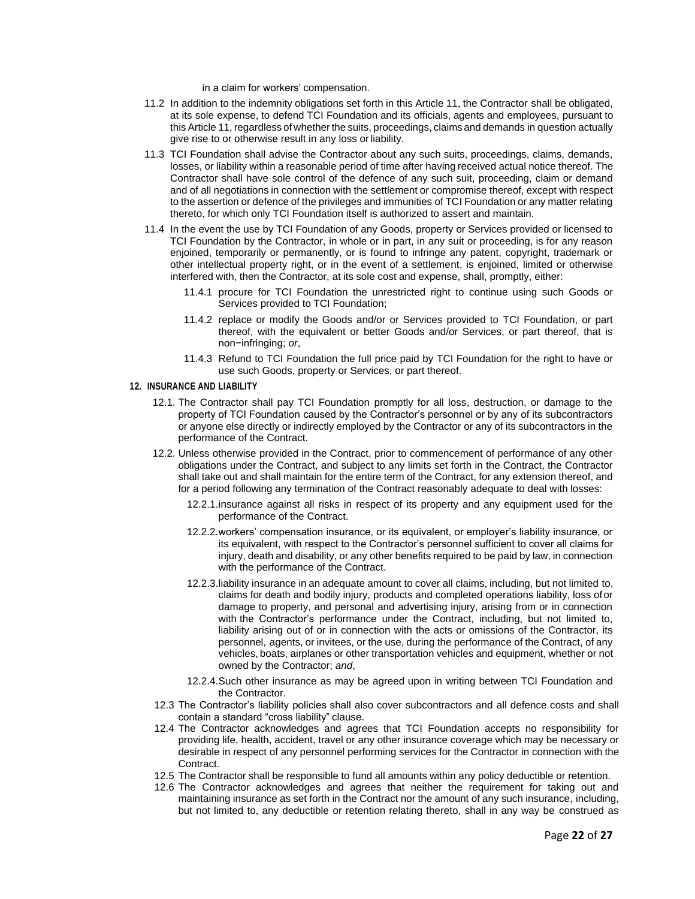in a claim for workers' compensation.

- 11.2 In addition to the indemnity obligations set forth in this Article 11, the Contractor shall be obligated, at its sole expense, to defend TCI Foundation and its officials, agents and employees, pursuant to this Article 11, regardless of whether the suits, proceedings, claims and demands in question actually give rise to or otherwise result in any loss or liability.
- 11.3 TCI Foundation shall advise the Contractor about any such suits, proceedings, claims, demands, losses, or liability within a reasonable period of time after having received actual notice thereof. The Contractor shall have sole control of the defence of any such suit, proceeding, claim or demand and of all negotiations in connection with the settlement or compromise thereof, except with respect to the assertion or defence of the privileges and immunities of TCI Foundation or any matter relating thereto, for which only TCI Foundation itself is authorized to assert and maintain.
- 11.4 In the event the use by TCI Foundation of any Goods, property or Services provided or licensed to TCI Foundation by the Contractor, in whole or in part, in any suit or proceeding, is for any reason enjoined, temporarily or permanently, or is found to infringe any patent, copyright, trademark or other intellectual property right, or in the event of a settlement, is enjoined, limited or otherwise interfered with, then the Contractor, at its sole cost and expense, shall, promptly, either:
	- 11.4.1 procure for TCI Foundation the unrestricted right to continue using such Goods or Services provided to TCI Foundation;
	- 11.4.2 replace or modify the Goods and/or or Services provided to TCI Foundation, or part thereof, with the equivalent or better Goods and/or Services, or part thereof, that is non−infringing; *or*,
	- 11.4.3 Refund to TCI Foundation the full price paid by TCI Foundation for the right to have or use such Goods, property or Services, or part thereof.

#### **12. INSURANCE AND LIABILITY**

- 12.1. The Contractor shall pay TCI Foundation promptly for all loss, destruction, or damage to the property of TCI Foundation caused by the Contractor's personnel or by any of its subcontractors or anyone else directly or indirectly employed by the Contractor or any of its subcontractors in the performance of the Contract.
- 12.2. Unless otherwise provided in the Contract, prior to commencement of performance of any other obligations under the Contract, and subject to any limits set forth in the Contract, the Contractor shall take out and shall maintain for the entire term of the Contract, for any extension thereof, and for a period following any termination of the Contract reasonably adequate to deal with losses:
	- 12.2.1.insurance against all risks in respect of its property and any equipment used for the performance of the Contract.
	- 12.2.2.workers' compensation insurance, or its equivalent, or employer's liability insurance, or its equivalent, with respect to the Contractor's personnel sufficient to cover all claims for injury, death and disability, or any other benefits required to be paid by law, in connection with the performance of the Contract.
	- 12.2.3.liability insurance in an adequate amount to cover all claims, including, but not limited to, claims for death and bodily injury, products and completed operations liability, loss ofor damage to property, and personal and advertising injury, arising from or in connection with the Contractor's performance under the Contract, including, but not limited to, liability arising out of or in connection with the acts or omissions of the Contractor, its personnel, agents, or invitees, or the use, during the performance of the Contract, of any vehicles, boats, airplanes or other transportation vehicles and equipment, whether or not owned by the Contractor; *and*,
	- 12.2.4.Such other insurance as may be agreed upon in writing between TCI Foundation and the Contractor.
- 12.3 The Contractor's liability policies shall also cover subcontractors and all defence costs and shall contain a standard "cross liability" clause.
- 12.4 The Contractor acknowledges and agrees that TCI Foundation accepts no responsibility for providing life, health, accident, travel or any other insurance coverage which may be necessary or desirable in respect of any personnel performing services for the Contractor in connection with the **Contract.**
- 12.5 The Contractor shall be responsible to fund all amounts within any policy deductible or retention.
- 12.6 The Contractor acknowledges and agrees that neither the requirement for taking out and maintaining insurance as set forth in the Contract nor the amount of any such insurance, including, but not limited to, any deductible or retention relating thereto, shall in any way be construed as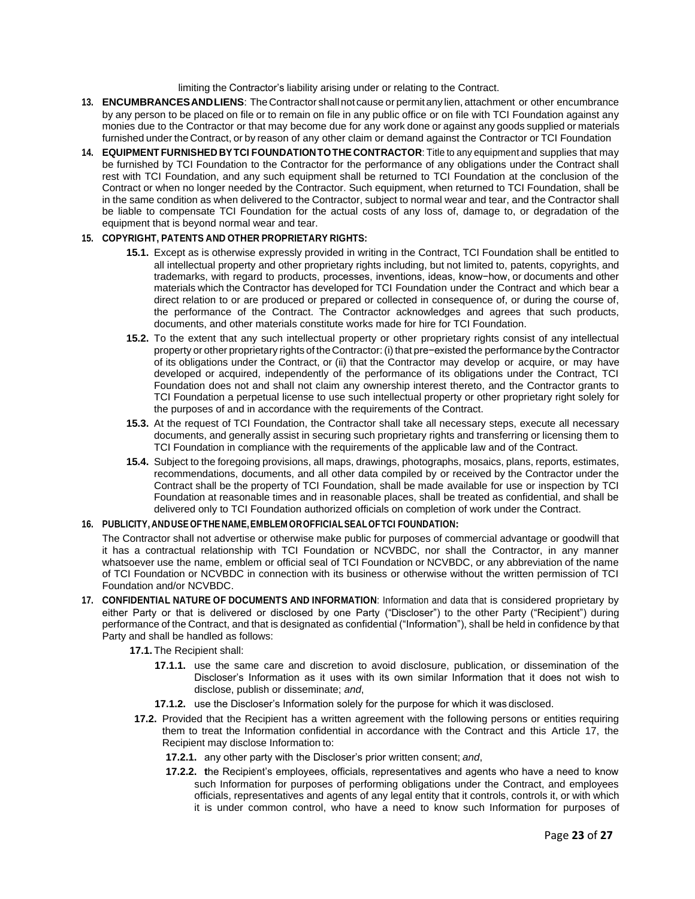limiting the Contractor's liability arising under or relating to the Contract.

- **13. ENCUMBRANCESANDLIENS**: TheContractor shallnot cause or permit any lien, attachment or other encumbrance by any person to be placed on file or to remain on file in any public office or on file with TCI Foundation against any monies due to the Contractor or that may become due for any work done or against any goods supplied or materials furnished under the Contract, or by reason of any other claim or demand against the Contractor or TCI Foundation
- **14. EQUIPMENT FURNISHED BYTCI FOUNDATIONTOTHE CONTRACTOR**: Title to any equipment and supplies that may be furnished by TCI Foundation to the Contractor for the performance of any obligations under the Contract shall rest with TCI Foundation, and any such equipment shall be returned to TCI Foundation at the conclusion of the Contract or when no longer needed by the Contractor. Such equipment, when returned to TCI Foundation, shall be in the same condition as when delivered to the Contractor, subject to normal wear and tear, and the Contractor shall be liable to compensate TCI Foundation for the actual costs of any loss of, damage to, or degradation of the equipment that is beyond normal wear and tear.

# **15. COPYRIGHT, PATENTS AND OTHER PROPRIETARY RIGHTS:**

- **15.1.** Except as is otherwise expressly provided in writing in the Contract, TCI Foundation shall be entitled to all intellectual property and other proprietary rights including, but not limited to, patents, copyrights, and trademarks, with regard to products, processes, inventions, ideas, know−how, or documents and other materials which the Contractor has developed for TCI Foundation under the Contract and which bear a direct relation to or are produced or prepared or collected in consequence of, or during the course of, the performance of the Contract. The Contractor acknowledges and agrees that such products, documents, and other materials constitute works made for hire for TCI Foundation.
- **15.2.** To the extent that any such intellectual property or other proprietary rights consist of any intellectual property or other proprietary rights of theContractor: (i) that pre−existed the performance by the Contractor of its obligations under the Contract, or (ii) that the Contractor may develop or acquire, or may have developed or acquired, independently of the performance of its obligations under the Contract, TCI Foundation does not and shall not claim any ownership interest thereto, and the Contractor grants to TCI Foundation a perpetual license to use such intellectual property or other proprietary right solely for the purposes of and in accordance with the requirements of the Contract.
- **15.3.** At the request of TCI Foundation, the Contractor shall take all necessary steps, execute all necessary documents, and generally assist in securing such proprietary rights and transferring or licensing them to TCI Foundation in compliance with the requirements of the applicable law and of the Contract.
- **15.4.** Subject to the foregoing provisions, all maps, drawings, photographs, mosaics, plans, reports, estimates, recommendations, documents, and all other data compiled by or received by the Contractor under the Contract shall be the property of TCI Foundation, shall be made available for use or inspection by TCI Foundation at reasonable times and in reasonable places, shall be treated as confidential, and shall be delivered only to TCI Foundation authorized officials on completion of work under the Contract.

# **16. PUBLICITY, ANDUSE OFTHE NAME,EMBLEM OROFFICIALSEALOFTCI FOUNDATION:**

The Contractor shall not advertise or otherwise make public for purposes of commercial advantage or goodwill that it has a contractual relationship with TCI Foundation or NCVBDC, nor shall the Contractor, in any manner whatsoever use the name, emblem or official seal of TCI Foundation or NCVBDC, or any abbreviation of the name of TCI Foundation or NCVBDC in connection with its business or otherwise without the written permission of TCI Foundation and/or NCVBDC.

- **17. CONFIDENTIAL NATURE OF DOCUMENTS AND INFORMATION**: Information and data that is considered proprietary by either Party or that is delivered or disclosed by one Party ("Discloser") to the other Party ("Recipient") during performance of the Contract, and that is designated as confidential ("Information"), shall be held in confidence by that Party and shall be handled as follows:
	- **17.1.** The Recipient shall:
		- **17.1.1.** use the same care and discretion to avoid disclosure, publication, or dissemination of the Discloser's Information as it uses with its own similar Information that it does not wish to disclose, publish or disseminate; *and*,
		- **17.1.2.** use the Discloser's Information solely for the purpose for which it was disclosed.
	- **17.2.** Provided that the Recipient has a written agreement with the following persons or entities requiring them to treat the Information confidential in accordance with the Contract and this Article 17, the Recipient may disclose Information to:
		- **17.2.1.** any other party with the Discloser's prior written consent; *and*,
		- **17.2.2. t**he Recipient's employees, officials, representatives and agents who have a need to know such Information for purposes of performing obligations under the Contract, and employees officials, representatives and agents of any legal entity that it controls, controls it, or with which it is under common control, who have a need to know such Information for purposes of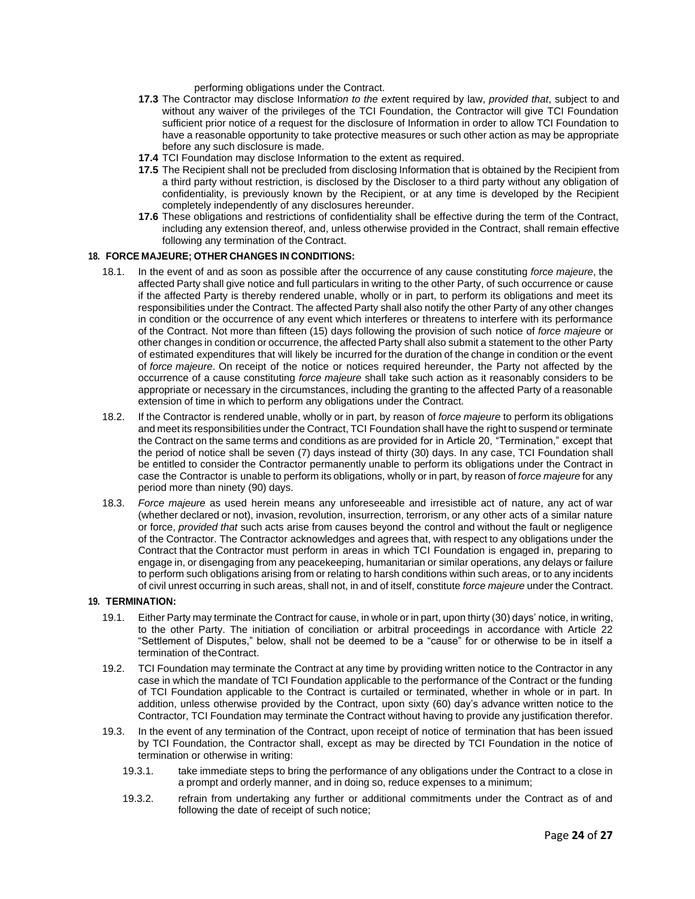performing obligations under the Contract.

- **17.3** The Contractor may disclose Informat*ion to the ext*ent required by law, *provided that*, subject to and without any waiver of the privileges of the TCI Foundation, the Contractor will give TCI Foundation sufficient prior notice of *a* request for the disclosure of Information in order to allow TCI Foundation to have a reasonable opportunity to take protective measures or such other action as may be appropriate before any such disclosure is made.
- **17.4** TCI Foundation may disclose Information to the extent as required.
- **17.5** The Recipient shall not be precluded from disclosing Information that is obtained by the Recipient from a third party without restriction, is disclosed by the Discloser to a third party without any obligation of confidentiality, is previously known by the Recipient, or at any time is developed by the Recipient completely independently of any disclosures hereunder.
- **17.6** These obligations and restrictions of confidentiality shall be effective during the term of the Contract, including any extension thereof, and, unless otherwise provided in the Contract, shall remain effective following any termination of the Contract.

#### **18. FORCE MAJEURE; OTHER CHANGES IN CONDITIONS:**

- 18.1. In the event of and as soon as possible after the occurrence of any cause constituting *force majeure*, the affected Party shall give notice and full particulars in writing to the other Party, of such occurrence or cause if the affected Party is thereby rendered unable, wholly or in part, to perform its obligations and meet its responsibilities under the Contract. The affected Party shall also notify the other Party of any other changes in condition or the occurrence of any event which interferes or threatens to interfere with its performance of the Contract. Not more than fifteen (15) days following the provision of such notice of *force majeure* or other changes in condition or occurrence, the affected Party shall also submit a statement to the other Party of estimated expenditures that will likely be incurred for the duration of the change in condition or the event of *force majeure*. On receipt of the notice or notices required hereunder, the Party not affected by the occurrence of a cause constituting *force majeure* shall take such action as it reasonably considers to be appropriate or necessary in the circumstances, including the granting to the affected Party of a reasonable extension of time in which to perform any obligations under the Contract.
- 18.2. If the Contractor is rendered unable, wholly or in part, by reason of *force majeure* to perform its obligations and meet its responsibilities under the Contract, TCI Foundation shall have the right to suspend or terminate the Contract on the same terms and conditions as are provided for in Article 20, "Termination," except that the period of notice shall be seven (7) days instead of thirty (30) days. In any case, TCI Foundation shall be entitled to consider the Contractor permanently unable to perform its obligations under the Contract in case the Contractor is unable to perform its obligations, wholly or in part, by reason of *force majeure* for any period more than ninety (90) days.
- 18.3. *Force majeure* as used herein means any unforeseeable and irresistible act of nature, any act of war (whether declared or not), invasion, revolution, insurrection, terrorism, or any other acts of a similar nature or force, *provided that* such acts arise from causes beyond the control and without the fault or negligence of the Contractor. The Contractor acknowledges and agrees that, with respect to any obligations under the Contract that the Contractor must perform in areas in which TCI Foundation is engaged in, preparing to engage in, or disengaging from any peacekeeping, humanitarian or similar operations, any delays or failure to perform such obligations arising from or relating to harsh conditions within such areas, or to any incidents of civil unrest occurring in such areas, shall not, in and of itself, constitute *force majeure* under the Contract.

#### **19. TERMINATION:**

- 19.1. Either Party may terminate the Contract for cause, in whole or in part, upon thirty (30) days' notice, in writing, to the other Party. The initiation of conciliation or arbitral proceedings in accordance with Article 22 "Settlement of Disputes," below, shall not be deemed to be a "cause" for or otherwise to be in itself a termination of theContract.
- 19.2. TCI Foundation may terminate the Contract at any time by providing written notice to the Contractor in any case in which the mandate of TCI Foundation applicable to the performance of the Contract or the funding of TCI Foundation applicable to the Contract is curtailed or terminated, whether in whole or in part. In addition, unless otherwise provided by the Contract, upon sixty (60) day's advance written notice to the Contractor, TCI Foundation may terminate the Contract without having to provide any justification therefor.
- 19.3. In the event of any termination of the Contract, upon receipt of notice of termination that has been issued by TCI Foundation, the Contractor shall, except as may be directed by TCI Foundation in the notice of termination or otherwise in writing:
	- 19.3.1. take immediate steps to bring the performance of any obligations under the Contract to a close in a prompt and orderly manner, and in doing so, reduce expenses to a minimum;
	- 19.3.2. refrain from undertaking any further or additional commitments under the Contract as of and following the date of receipt of such notice;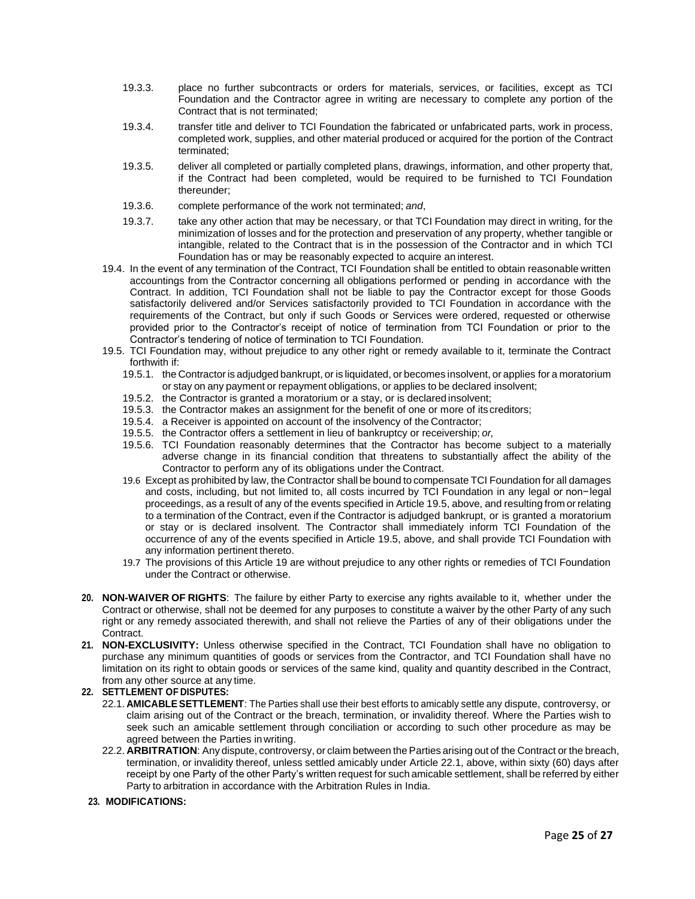- 19.3.3. place no further subcontracts or orders for materials, services, or facilities, except as TCI Foundation and the Contractor agree in writing are necessary to complete any portion of the Contract that is not terminated;
- 19.3.4. transfer title and deliver to TCI Foundation the fabricated or unfabricated parts, work in process, completed work, supplies, and other material produced or acquired for the portion of the Contract terminated;
- 19.3.5. deliver all completed or partially completed plans, drawings, information, and other property that, if the Contract had been completed, would be required to be furnished to TCI Foundation thereunder;
- 19.3.6. complete performance of the work not terminated; *and*,
- 19.3.7. take any other action that may be necessary, or that TCI Foundation may direct in writing, for the minimization of losses and for the protection and preservation of any property, whether tangible or intangible, related to the Contract that is in the possession of the Contractor and in which TCI Foundation has or may be reasonably expected to acquire an interest.
- 19.4. In the event of any termination of the Contract, TCI Foundation shall be entitled to obtain reasonable written accountings from the Contractor concerning all obligations performed or pending in accordance with the Contract. In addition, TCI Foundation shall not be liable to pay the Contractor except for those Goods satisfactorily delivered and/or Services satisfactorily provided to TCI Foundation in accordance with the requirements of the Contract, but only if such Goods or Services were ordered, requested or otherwise provided prior to the Contractor's receipt of notice of termination from TCI Foundation or prior to the Contractor's tendering of notice of termination to TCI Foundation.
- 19.5. TCI Foundation may, without prejudice to any other right or remedy available to it, terminate the Contract forthwith if:
	- 19.5.1. the Contractor is adjudged bankrupt, or is liquidated, or becomes insolvent, or applies for a moratorium or stay on any payment or repayment obligations, or applies to be declared insolvent;
	- 19.5.2. the Contractor is granted a moratorium or a stay, or is declared insolvent;
	- 19.5.3. the Contractor makes an assignment for the benefit of one or more of its creditors;
	- 19.5.4. a Receiver is appointed on account of the insolvency of the Contractor;
	- 19.5.5. the Contractor offers a settlement in lieu of bankruptcy or receivership; *or,*
	- 19.5.6. TCI Foundation reasonably determines that the Contractor has become subject to a materially adverse change in its financial condition that threatens to substantially affect the ability of the Contractor to perform any of its obligations under the Contract.
	- 19.6 Except as prohibited by law, the Contractor shall be bound to compensate TCI Foundation for all damages and costs, including, but not limited to, all costs incurred by TCI Foundation in any legal or non−legal proceedings, as a result of any of the events specified in Article 19.5, above, and resulting from or relating to a termination of the Contract, even if the Contractor is adjudged bankrupt, or is granted a moratorium or stay or is declared insolvent. The Contractor shall immediately inform TCI Foundation of the occurrence of any of the events specified in Article 19.5, above, and shall provide TCI Foundation with any information pertinent thereto.
	- 19.7 The provisions of this Article 19 are without prejudice to any other rights or remedies of TCI Foundation under the Contract or otherwise.
- **20. NON-WAIVER OF RIGHTS**: The failure by either Party to exercise any rights available to it, whether under the Contract or otherwise, shall not be deemed for any purposes to constitute a waiver by the other Party of any such right or any remedy associated therewith, and shall not relieve the Parties of any of their obligations under the Contract.
- **21. NON-EXCLUSIVITY:** Unless otherwise specified in the Contract, TCI Foundation shall have no obligation to purchase any minimum quantities of goods or services from the Contractor, and TCI Foundation shall have no limitation on its right to obtain goods or services of the same kind, quality and quantity described in the Contract, from any other source at any time.

# **22. SETTLEMENT OF DISPUTES:**

- 22.1. **AMICABLESETTLEMENT**: The Parties shall use their best efforts to amicably settle any dispute, controversy, or claim arising out of the Contract or the breach, termination, or invalidity thereof. Where the Parties wish to seek such an amicable settlement through conciliation or according to such other procedure as may be agreed between the Parties inwriting.
- 22.2. **ARBITRATION**: Any dispute, controversy, or claim between the Parties arising out of the Contract or the breach, termination, or invalidity thereof, unless settled amicably under Article 22.1, above, within sixty (60) days after receipt by one Party of the other Party's written request for such amicable settlement, shall be referred by either Party to arbitration in accordance with the Arbitration Rules in India.

## **23. MODIFICATIONS:**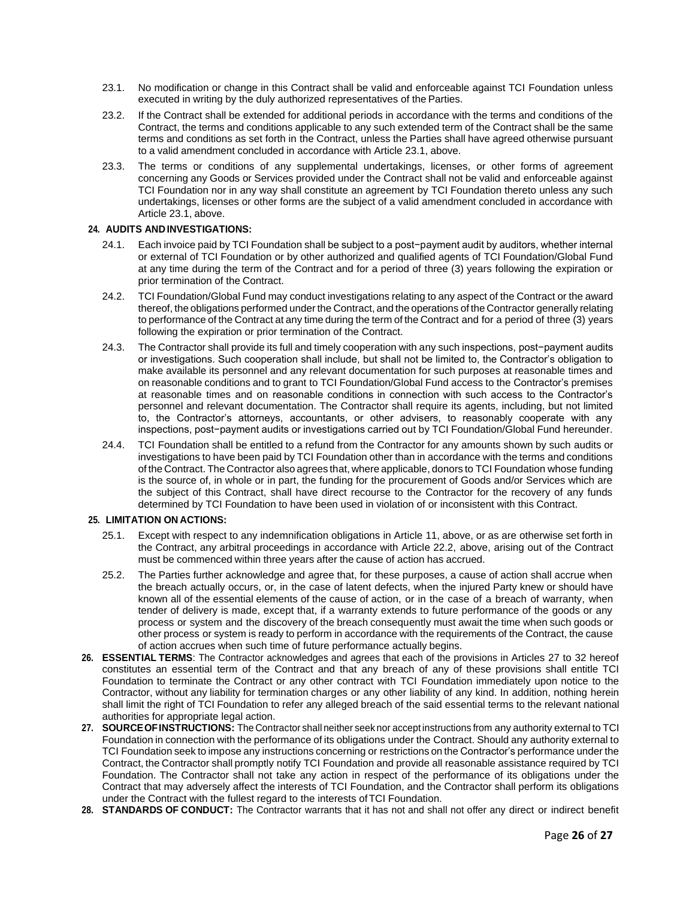- 23.1. No modification or change in this Contract shall be valid and enforceable against TCI Foundation unless executed in writing by the duly authorized representatives of the Parties.
- 23.2. If the Contract shall be extended for additional periods in accordance with the terms and conditions of the Contract, the terms and conditions applicable to any such extended term of the Contract shall be the same terms and conditions as set forth in the Contract, unless the Parties shall have agreed otherwise pursuant to a valid amendment concluded in accordance with Article 23.1, above.
- 23.3. The terms or conditions of any supplemental undertakings, licenses, or other forms of agreement concerning any Goods or Services provided under the Contract shall not be valid and enforceable against TCI Foundation nor in any way shall constitute an agreement by TCI Foundation thereto unless any such undertakings, licenses or other forms are the subject of a valid amendment concluded in accordance with Article 23.1, above.

# **24. AUDITS ANDINVESTIGATIONS:**

- 24.1. Each invoice paid by TCI Foundation shall be subject to a post−payment audit by auditors, whether internal or external of TCI Foundation or by other authorized and qualified agents of TCI Foundation/Global Fund at any time during the term of the Contract and for a period of three (3) years following the expiration or prior termination of the Contract.
- 24.2. TCI Foundation/Global Fund may conduct investigations relating to any aspect of the Contract or the award thereof, the obligations performed under the Contract, and the operations of the Contractor generally relating to performance of the Contract at any time during the term of the Contract and for a period of three (3) years following the expiration or prior termination of the Contract.
- 24.3. The Contractor shall provide its full and timely cooperation with any such inspections, post−payment audits or investigations. Such cooperation shall include, but shall not be limited to, the Contractor's obligation to make available its personnel and any relevant documentation for such purposes at reasonable times and on reasonable conditions and to grant to TCI Foundation/Global Fund access to the Contractor's premises at reasonable times and on reasonable conditions in connection with such access to the Contractor's personnel and relevant documentation. The Contractor shall require its agents, including, but not limited to, the Contractor's attorneys, accountants, or other advisers, to reasonably cooperate with any inspections, post−payment audits or investigations carried out by TCI Foundation/Global Fund hereunder.
- 24.4. TCI Foundation shall be entitled to a refund from the Contractor for any amounts shown by such audits or investigations to have been paid by TCI Foundation other than in accordance with the terms and conditions of the Contract. The Contractor also agrees that, where applicable, donors to TCI Foundation whose funding is the source of, in whole or in part, the funding for the procurement of Goods and/or Services which are the subject of this Contract, shall have direct recourse to the Contractor for the recovery of any funds determined by TCI Foundation to have been used in violation of or inconsistent with this Contract.

# **25. LIMITATION ON ACTIONS:**

- 25.1. Except with respect to any indemnification obligations in Article 11, above, or as are otherwise set forth in the Contract, any arbitral proceedings in accordance with Article 22.2, above, arising out of the Contract must be commenced within three years after the cause of action has accrued.
- 25.2. The Parties further acknowledge and agree that, for these purposes, a cause of action shall accrue when the breach actually occurs, or, in the case of latent defects, when the injured Party knew or should have known all of the essential elements of the cause of action, or in the case of a breach of warranty, when tender of delivery is made, except that, if a warranty extends to future performance of the goods or any process or system and the discovery of the breach consequently must await the time when such goods or other process or system is ready to perform in accordance with the requirements of the Contract, the cause of action accrues when such time of future performance actually begins.
- **26. ESSENTIAL TERMS**: The Contractor acknowledges and agrees that each of the provisions in Articles 27 to 32 hereof constitutes an essential term of the Contract and that any breach of any of these provisions shall entitle TCI Foundation to terminate the Contract or any other contract with TCI Foundation immediately upon notice to the Contractor, without any liability for termination charges or any other liability of any kind. In addition, nothing herein shall limit the right of TCI Foundation to refer any alleged breach of the said essential terms to the relevant national authorities for appropriate legal action.
- **27. SOURCEOFINSTRUCTIONS:** The Contractor shall neither seek nor accept instructions from any authority external to TCI Foundation in connection with the performance of its obligations under the Contract. Should any authority external to TCI Foundation seek to impose any instructions concerning or restrictions on the Contractor's performance under the Contract, the Contractor shall promptly notify TCI Foundation and provide all reasonable assistance required by TCI Foundation. The Contractor shall not take any action in respect of the performance of its obligations under the Contract that may adversely affect the interests of TCI Foundation, and the Contractor shall perform its obligations under the Contract with the fullest regard to the interests ofTCI Foundation.
- **28. STANDARDS OF CONDUCT:** The Contractor warrants that it has not and shall not offer any direct or indirect benefit